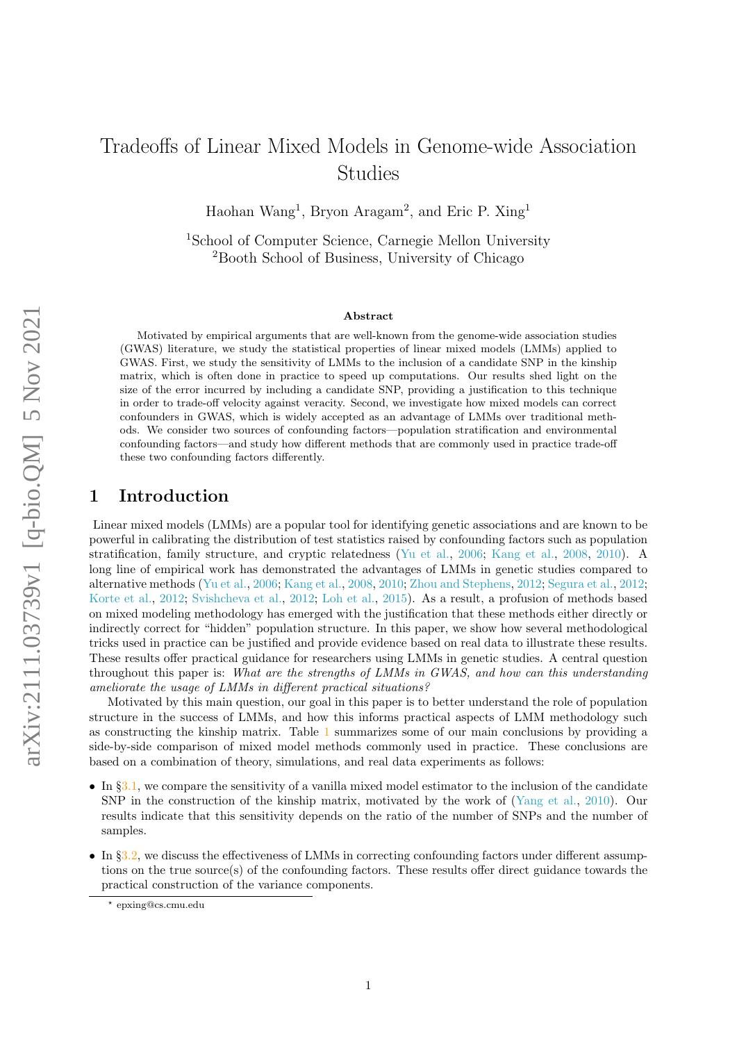# Tradeoffs of Linear Mixed Models in Genome-wide Association Studies

Haohan Wang<sup>1</sup>, Bryon Aragam<sup>2</sup>, and Eric P. Xing<sup>1</sup>

<sup>1</sup>School of Computer Science, Carnegie Mellon University <sup>2</sup>Booth School of Business, University of Chicago

#### Abstract

Motivated by empirical arguments that are well-known from the genome-wide association studies (GWAS) literature, we study the statistical properties of linear mixed models (LMMs) applied to GWAS. First, we study the sensitivity of LMMs to the inclusion of a candidate SNP in the kinship matrix, which is often done in practice to speed up computations. Our results shed light on the size of the error incurred by including a candidate SNP, providing a justification to this technique in order to trade-off velocity against veracity. Second, we investigate how mixed models can correct confounders in GWAS, which is widely accepted as an advantage of LMMs over traditional methods. We consider two sources of confounding factors—population stratification and environmental confounding factors—and study how different methods that are commonly used in practice trade-off these two confounding factors differently.

## 1 Introduction

Linear mixed models (LMMs) are a popular tool for identifying genetic associations and are known to be powerful in calibrating the distribution of test statistics raised by confounding factors such as population stratification, family structure, and cryptic relatedness [\(Yu et al.,](#page-15-0) [2006;](#page-15-0) [Kang et al.,](#page-13-0) [2008,](#page-13-0) [2010\)](#page-13-1). A long line of empirical work has demonstrated the advantages of LMMs in genetic studies compared to alternative methods [\(Yu et al.,](#page-15-0) [2006;](#page-15-0) [Kang et al.,](#page-13-0) [2008,](#page-13-0) [2010;](#page-13-1) [Zhou and Stephens,](#page-15-1) [2012;](#page-15-1) [Segura et al.,](#page-14-0) [2012;](#page-14-0) [Korte et al.,](#page-13-2) [2012;](#page-13-2) [Svishcheva et al.,](#page-14-1) [2012;](#page-14-1) [Loh et al.,](#page-14-2) [2015\)](#page-14-2). As a result, a profusion of methods based on mixed modeling methodology has emerged with the justification that these methods either directly or indirectly correct for "hidden" population structure. In this paper, we show how several methodological tricks used in practice can be justified and provide evidence based on real data to illustrate these results. These results offer practical guidance for researchers using LMMs in genetic studies. A central question throughout this paper is: What are the strengths of LMMs in GWAS, and how can this understanding ameliorate the usage of LMMs in different practical situations?

Motivated by this main question, our goal in this paper is to better understand the role of population structure in the success of LMMs, and how this informs practical aspects of LMM methodology such as constructing the kinship matrix. Table [1](#page-1-0) summarizes some of our main conclusions by providing a side-by-side comparison of mixed model methods commonly used in practice. These conclusions are based on a combination of theory, simulations, and real data experiments as follows:

- In  $\S 3.1$ , we compare the sensitivity of a vanilla mixed model estimator to the inclusion of the candidate SNP in the construction of the kinship matrix, motivated by the work of [\(Yang et al.,](#page-15-2) [2010\)](#page-15-2). Our results indicate that this sensitivity depends on the ratio of the number of SNPs and the number of samples.
- In §[3.2,](#page-3-0) we discuss the effectiveness of LMMs in correcting confounding factors under different assumptions on the true source(s) of the confounding factors. These results offer direct guidance towards the practical construction of the variance components.

<sup>?</sup> epxing@cs.cmu.edu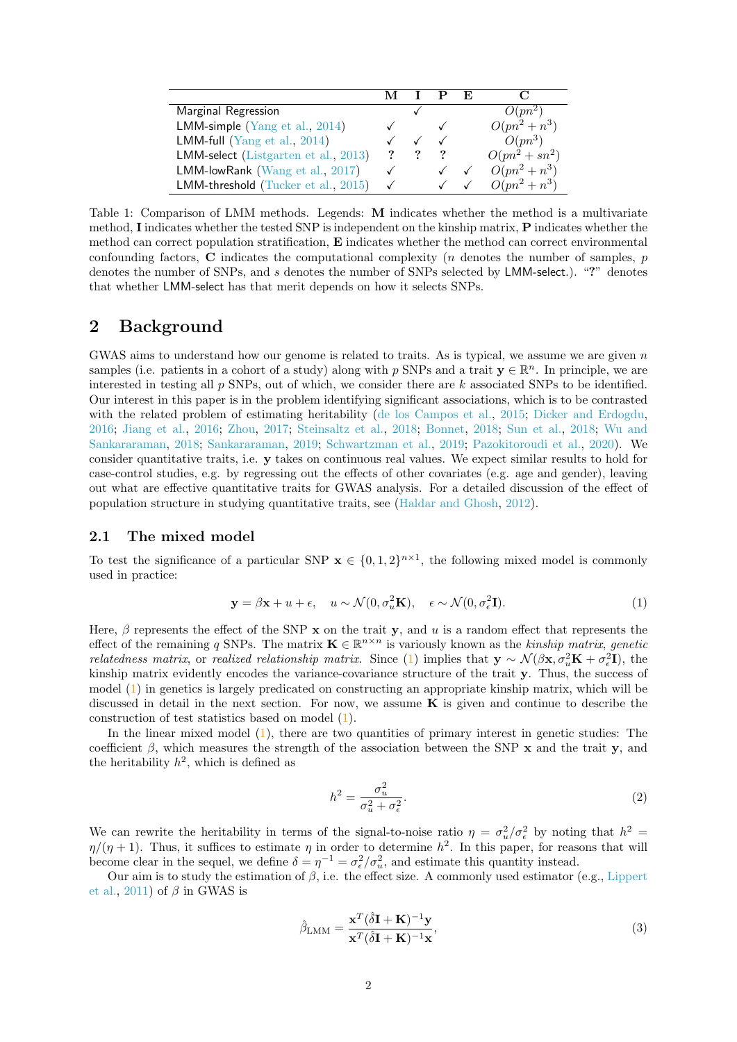<span id="page-1-0"></span>

|                                      |              |  | E |                  |
|--------------------------------------|--------------|--|---|------------------|
| Marginal Regression                  |              |  |   | $O(pn^2)$        |
| LMM-simple (Yang et al., 2014)       |              |  |   | $O(pn^2 + n^3)$  |
| LMM-full (Yang et al., $2014$ )      |              |  |   | $O(pn^3)$        |
| LMM-select (Listgarten et al., 2013) |              |  |   | $O(pn^2 + sn^2)$ |
| LMM-lowRank ( $Wang et al., 2017$ )  | $\checkmark$ |  |   | $O(pn^2 + n^3)$  |
| LMM-threshold (Tucker et al., 2015)  | $\checkmark$ |  |   | $O(pn^2 + n^3)$  |

Table 1: Comparison of LMM methods. Legends: M indicates whether the method is a multivariate method, I indicates whether the tested SNP is independent on the kinship matrix, P indicates whether the method can correct population stratification, E indicates whether the method can correct environmental confounding factors,  $C$  indicates the computational complexity (*n* denotes the number of samples,  $p$ denotes the number of SNPs, and s denotes the number of SNPs selected by LMM-select.). "?" denotes that whether LMM-select has that merit depends on how it selects SNPs.

## 2 Background

GWAS aims to understand how our genome is related to traits. As is typical, we assume we are given  $n$ samples (i.e. patients in a cohort of a study) along with p SNPs and a trait  $y \in \mathbb{R}^n$ . In principle, we are interested in testing all  $p$  SNPs, out of which, we consider there are  $k$  associated SNPs to be identified. Our interest in this paper is in the problem identifying significant associations, which is to be contrasted with the related problem of estimating heritability [\(de los Campos et al.,](#page-13-4) [2015;](#page-13-4) [Dicker and Erdogdu,](#page-13-5) [2016;](#page-13-5) [Jiang et al.,](#page-13-6) [2016;](#page-13-6) [Zhou,](#page-15-5) [2017;](#page-15-5) [Steinsaltz et al.,](#page-14-4) [2018;](#page-14-4) [Bonnet,](#page-12-0) [2018;](#page-12-0) [Sun et al.,](#page-14-5) [2018;](#page-14-5) [Wu and](#page-15-6) [Sankararaman,](#page-15-6) [2018;](#page-15-6) [Sankararaman,](#page-14-6) [2019;](#page-14-6) [Schwartzman et al.,](#page-14-7) [2019;](#page-14-7) [Pazokitoroudi et al.,](#page-14-8) [2020\)](#page-14-8). We consider quantitative traits, i.e. y takes on continuous real values. We expect similar results to hold for case-control studies, e.g. by regressing out the effects of other covariates (e.g. age and gender), leaving out what are effective quantitative traits for GWAS analysis. For a detailed discussion of the effect of population structure in studying quantitative traits, see [\(Haldar and Ghosh,](#page-13-7) [2012\)](#page-13-7).

### 2.1 The mixed model

To test the significance of a particular SNP  $\mathbf{x} \in \{0,1,2\}^{n\times1}$ , the following mixed model is commonly used in practice:

$$
\mathbf{y} = \beta \mathbf{x} + u + \epsilon, \quad u \sim \mathcal{N}(0, \sigma_u^2 \mathbf{K}), \quad \epsilon \sim \mathcal{N}(0, \sigma_\epsilon^2 \mathbf{I}). \tag{1}
$$

Here,  $\beta$  represents the effect of the SNP x on the trait y, and u is a random effect that represents the effect of the remaining q SNPs. The matrix  $\mathbf{K} \in \mathbb{R}^{n \times n}$  is variously known as the *kinship matrix, genetic relatedness matrix*, or *realized relationship matrix*. Since [\(1\)](#page-1-1) implies that  $y \sim \mathcal{N}(\beta x, \sigma_u^2 K + \sigma_e^2 I)$ , the kinship matrix evidently encodes the variance-covariance structure of the trait y. Thus, the success of model [\(1\)](#page-1-1) in genetics is largely predicated on constructing an appropriate kinship matrix, which will be discussed in detail in the next section. For now, we assume  $\bf{K}$  is given and continue to describe the construction of test statistics based on model [\(1\)](#page-1-1).

In the linear mixed model  $(1)$ , there are two quantities of primary interest in genetic studies: The coefficient  $\beta$ , which measures the strength of the association between the SNP x and the trait y, and the heritability  $h^2$ , which is defined as

<span id="page-1-1"></span>
$$
h^2 = \frac{\sigma_u^2}{\sigma_u^2 + \sigma_\epsilon^2}.\tag{2}
$$

We can rewrite the heritability in terms of the signal-to-noise ratio  $\eta = \sigma_u^2/\sigma_{\epsilon}^2$  by noting that  $h^2 =$  $\eta/(\eta+1)$ . Thus, it suffices to estimate  $\eta$  in order to determine  $h^2$ . In this paper, for reasons that will become clear in the sequel, we define  $\delta = \eta^{-1} = \sigma_{\epsilon}^2/\sigma_u^2$ , and estimate this quantity instead.

Our aim is to study the estimation of  $\beta$ , i.e. the effect size. A commonly used estimator (e.g., [Lippert](#page-13-8) [et al.,](#page-13-8) [2011\)](#page-13-8) of  $\beta$  in GWAS is

$$
\hat{\beta}_{\text{LMM}} = \frac{\mathbf{x}^T (\hat{\delta} \mathbf{I} + \mathbf{K})^{-1} \mathbf{y}}{\mathbf{x}^T (\hat{\delta} \mathbf{I} + \mathbf{K})^{-1} \mathbf{x}},\tag{3}
$$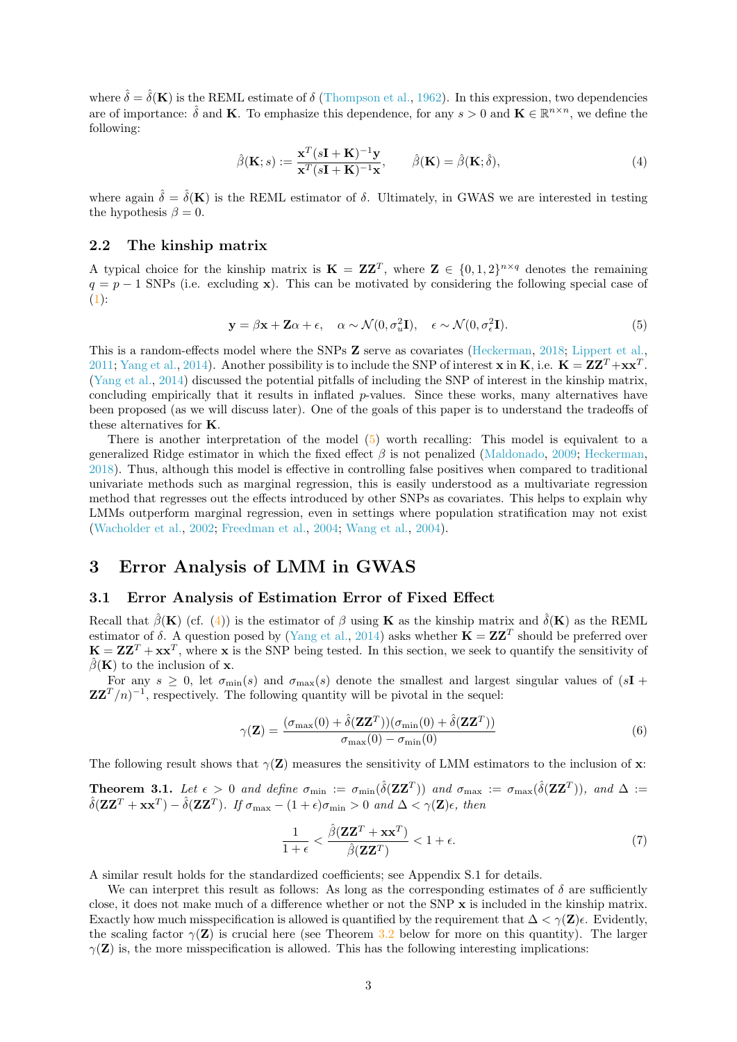where  $\hat{\delta} = \hat{\delta}(\mathbf{K})$  is the REML estimate of  $\delta$  [\(Thompson et al.,](#page-14-9) [1962\)](#page-14-9). In this expression, two dependencies are of importance:  $\hat{\delta}$  and **K**. To emphasize this dependence, for any  $s > 0$  and  $\mathbf{K} \in \mathbb{R}^{n \times n}$ , we define the following:

<span id="page-2-2"></span>
$$
\hat{\beta}(\mathbf{K};s) := \frac{\mathbf{x}^T (s\mathbf{I} + \mathbf{K})^{-1} \mathbf{y}}{\mathbf{x}^T (s\mathbf{I} + \mathbf{K})^{-1} \mathbf{x}}, \qquad \hat{\beta}(\mathbf{K}) = \hat{\beta}(\mathbf{K};\hat{\delta}),
$$
\n(4)

where again  $\hat{\delta} = \hat{\delta}(\mathbf{K})$  is the REML estimator of  $\delta$ . Ultimately, in GWAS we are interested in testing the hypothesis  $\beta = 0$ .

### 2.2 The kinship matrix

A typical choice for the kinship matrix is  $\mathbf{K} = \mathbf{Z} \mathbf{Z}^T$ , where  $\mathbf{Z} \in \{0, 1, 2\}^{n \times q}$  denotes the remaining  $q = p - 1$  SNPs (i.e. excluding x). This can be motivated by considering the following special case of  $(1):$  $(1):$ 

<span id="page-2-1"></span>
$$
\mathbf{y} = \beta \mathbf{x} + \mathbf{Z}\alpha + \epsilon, \quad \alpha \sim \mathcal{N}(0, \sigma_u^2 \mathbf{I}), \quad \epsilon \sim \mathcal{N}(0, \sigma_\epsilon^2 \mathbf{I}). \tag{5}
$$

This is a random-effects model where the SNPs **Z** serve as covariates [\(Heckerman,](#page-13-9) [2018;](#page-13-9) [Lippert et al.,](#page-13-8) [2011;](#page-13-8) [Yang et al.,](#page-15-3) [2014\)](#page-15-3). Another possibility is to include the SNP of interest **x** in **K**, i.e.  $\mathbf{K} = \mathbf{Z}\mathbf{Z}^T + \mathbf{x}\mathbf{x}^T$ . [\(Yang et al.,](#page-15-3) [2014\)](#page-15-3) discussed the potential pitfalls of including the SNP of interest in the kinship matrix, concluding empirically that it results in inflated p-values. Since these works, many alternatives have been proposed (as we will discuss later). One of the goals of this paper is to understand the tradeoffs of these alternatives for K.

There is another interpretation of the model [\(5\)](#page-2-1) worth recalling: This model is equivalent to a generalized Ridge estimator in which the fixed effect  $\beta$  is not penalized [\(Maldonado,](#page-14-10) [2009;](#page-14-10) [Heckerman,](#page-13-9) [2018\)](#page-13-9). Thus, although this model is effective in controlling false positives when compared to traditional univariate methods such as marginal regression, this is easily understood as a multivariate regression method that regresses out the effects introduced by other SNPs as covariates. This helps to explain why LMMs outperform marginal regression, even in settings where population stratification may not exist [\(Wacholder et al.,](#page-15-7) [2002;](#page-15-7) [Freedman et al.,](#page-13-10) [2004;](#page-13-10) [Wang et al.,](#page-15-8) [2004\)](#page-15-8).

## 3 Error Analysis of LMM in GWAS

#### <span id="page-2-0"></span>3.1 Error Analysis of Estimation Error of Fixed Effect

Recall that  $\hat{\beta}(\mathbf{K})$  (cf. [\(4\)](#page-2-2)) is the estimator of  $\beta$  using **K** as the kinship matrix and  $\hat{\delta}(\mathbf{K})$  as the REML estimator of  $\delta$ . A question posed by [\(Yang et al.,](#page-15-3) [2014\)](#page-15-3) asks whether  $\mathbf{K} = \mathbf{Z} \mathbf{Z}^T$  should be preferred over  $\mathbf{K} = \mathbf{Z}\mathbf{Z}^T + \mathbf{x}\mathbf{x}^T$ , where x is the SNP being tested. In this section, we seek to quantify the sensitivity of  $\hat{\beta}(\mathbf{K})$  to the inclusion of **x**.

For any  $s > 0$ , let  $\sigma_{\min}(s)$  and  $\sigma_{\max}(s)$  denote the smallest and largest singular values of  $(sI +$  $\mathbf{Z}\mathbf{Z}^T/n$ <sup>-1</sup>, respectively. The following quantity will be pivotal in the sequel:

$$
\gamma(\mathbf{Z}) = \frac{(\sigma_{\text{max}}(0) + \hat{\delta}(\mathbf{Z}\mathbf{Z}^T))(\sigma_{\text{min}}(0) + \hat{\delta}(\mathbf{Z}\mathbf{Z}^T))}{\sigma_{\text{max}}(0) - \sigma_{\text{min}}(0)}\tag{6}
$$

The following result shows that  $\gamma(\mathbf{Z})$  measures the sensitivity of LMM estimators to the inclusion of x:

<span id="page-2-3"></span>**Theorem 3.1.** Let  $\epsilon > 0$  and define  $\sigma_{\min} := \sigma_{\min}(\hat{\delta}(\mathbf{ZZ}^T))$  and  $\sigma_{\max} := \sigma_{\max}(\hat{\delta}(\mathbf{ZZ}^T))$ , and  $\Delta :=$  $\hat{\delta}(\mathbf{Z}\mathbf{Z}^T + \mathbf{x}\mathbf{x}^T) - \hat{\delta}(\mathbf{Z}\mathbf{Z}^T)$ . If  $\sigma_{\text{max}} - (1 + \epsilon)\sigma_{\text{min}} > 0$  and  $\Delta < \gamma(\mathbf{Z})\epsilon$ , then

$$
\frac{1}{1+\epsilon} < \frac{\hat{\beta}(\mathbf{Z}\mathbf{Z}^T + \mathbf{x}\mathbf{x}^T)}{\hat{\beta}(\mathbf{Z}\mathbf{Z}^T)} < 1 + \epsilon. \tag{7}
$$

A similar result holds for the standardized coefficients; see Appendix S.1 for details.

We can interpret this result as follows: As long as the corresponding estimates of  $\delta$  are sufficiently close, it does not make much of a difference whether or not the SNP x is included in the kinship matrix. Exactly how much misspecification is allowed is quantified by the requirement that  $\Delta < \gamma(\mathbf{Z})\epsilon$ . Evidently, the scaling factor  $\gamma(\mathbf{Z})$  is crucial here (see Theorem [3.2](#page-3-1) below for more on this quantity). The larger  $\gamma(\mathbf{Z})$  is, the more misspecification is allowed. This has the following interesting implications: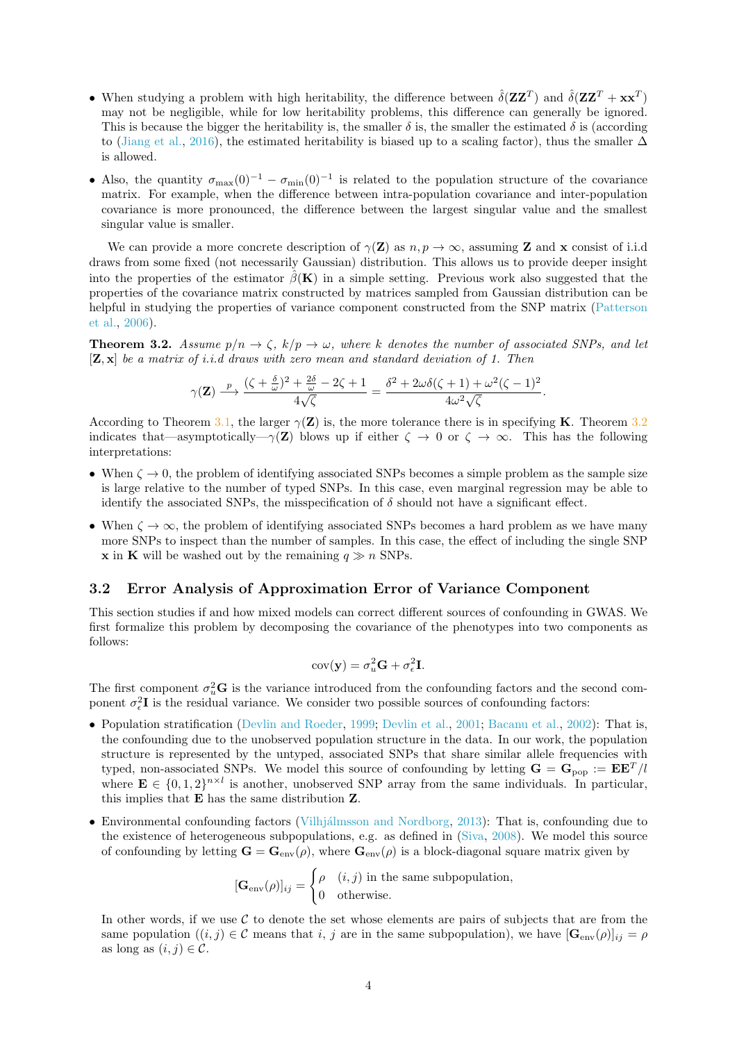- When studying a problem with high heritability, the difference between  $\hat{\delta}(\mathbf{Z}\mathbf{Z}^T)$  and  $\hat{\delta}(\mathbf{Z}\mathbf{Z}^T + \mathbf{x}\mathbf{x}^T)$ may not be negligible, while for low heritability problems, this difference can generally be ignored. This is because the bigger the heritability is, the smaller  $\delta$  is, the smaller the estimated  $\delta$  is (according to [\(Jiang et al.,](#page-13-6) [2016\)](#page-13-6), the estimated heritability is biased up to a scaling factor), thus the smaller  $\Delta$ is allowed.
- Also, the quantity  $\sigma_{\text{max}}(0)^{-1} \sigma_{\text{min}}(0)^{-1}$  is related to the population structure of the covariance matrix. For example, when the difference between intra-population covariance and inter-population covariance is more pronounced, the difference between the largest singular value and the smallest singular value is smaller.

We can provide a more concrete description of  $\gamma(\mathbf{Z})$  as  $n, p \to \infty$ , assuming **Z** and **x** consist of i.i.d draws from some fixed (not necessarily Gaussian) distribution. This allows us to provide deeper insight into the properties of the estimator  $\hat{\beta}(\mathbf{K})$  in a simple setting. Previous work also suggested that the properties of the covariance matrix constructed by matrices sampled from Gaussian distribution can be helpful in studying the properties of variance component constructed from the SNP matrix [\(Patterson](#page-14-11) [et al.,](#page-14-11) [2006\)](#page-14-11).

<span id="page-3-1"></span>**Theorem 3.2.** Assume  $p/n \to \zeta$ ,  $k/p \to \omega$ , where k denotes the number of associated SNPs, and let  $[\mathbf{Z}, \mathbf{x}]$  be a matrix of i.i.d draws with zero mean and standard deviation of 1. Then

$$
\gamma(\mathbf{Z}) \xrightarrow{p} \frac{(\zeta + \frac{\delta}{\omega})^2 + \frac{2\delta}{\omega} - 2\zeta + 1}{4\sqrt{\zeta}} = \frac{\delta^2 + 2\omega\delta(\zeta + 1) + \omega^2(\zeta - 1)^2}{4\omega^2\sqrt{\zeta}}.
$$

According to Theorem [3.1,](#page-2-3) the larger  $\gamma(\mathbf{Z})$  is, the more tolerance there is in specifying **K**. Theorem [3.2](#page-3-1) indicates that—asymptotically— $\gamma(\mathbf{Z})$  blows up if either  $\zeta \to 0$  or  $\zeta \to \infty$ . This has the following interpretations:

- When  $\zeta \to 0$ , the problem of identifying associated SNPs becomes a simple problem as the sample size is large relative to the number of typed SNPs. In this case, even marginal regression may be able to identify the associated SNPs, the misspecification of  $\delta$  should not have a significant effect.
- When  $\zeta \to \infty$ , the problem of identifying associated SNPs becomes a hard problem as we have many more SNPs to inspect than the number of samples. In this case, the effect of including the single SNP **x** in **K** will be washed out by the remaining  $q \gg n$  SNPs.

### <span id="page-3-0"></span>3.2 Error Analysis of Approximation Error of Variance Component

This section studies if and how mixed models can correct different sources of confounding in GWAS. We first formalize this problem by decomposing the covariance of the phenotypes into two components as follows:

$$
cov(\mathbf{y}) = \sigma_u^2 \mathbf{G} + \sigma_\epsilon^2 \mathbf{I}.
$$

The first component  $\sigma_u^2$ **G** is the variance introduced from the confounding factors and the second component  $\sigma_{\epsilon}^2 I$  is the residual variance. We consider two possible sources of confounding factors:

- Population stratification [\(Devlin and Roeder,](#page-13-11) [1999;](#page-13-11) [Devlin et al.,](#page-13-12) [2001;](#page-13-12) [Bacanu et al.,](#page-12-1) [2002\)](#page-12-1): That is, the confounding due to the unobserved population structure in the data. In our work, the population structure is represented by the untyped, associated SNPs that share similar allele frequencies with typed, non-associated SNPs. We model this source of confounding by letting  $\mathbf{G} = \mathbf{G}_{pop} := \mathbf{E} \mathbf{E}^T / l$ where  $\mathbf{E} \in \{0,1,2\}^{n \times l}$  is another, unobserved SNP array from the same individuals. In particular, this implies that E has the same distribution Z.
- Environmental confounding factors (Vilhjálmsson and Nordborg, [2013\)](#page-14-12): That is, confounding due to the existence of heterogeneous subpopulations, e.g. as defined in [\(Siva,](#page-14-13) [2008\)](#page-14-13). We model this source of confounding by letting  $\mathbf{G} = \mathbf{G}_{env}(\rho)$ , where  $\mathbf{G}_{env}(\rho)$  is a block-diagonal square matrix given by

$$
[\mathbf{G}_{env}(\rho)]_{ij} = \begin{cases} \rho & (i,j) \text{ in the same subpopulation,} \\ 0 & \text{otherwise.} \end{cases}
$$

In other words, if we use  $C$  to denote the set whose elements are pairs of subjects that are from the same population  $((i, j) \in \mathcal{C}$  means that i, j are in the same subpopulation), we have  $[\mathbf{G}_{env}(\rho)]_{ij} = \rho$ as long as  $(i, j) \in \mathcal{C}$ .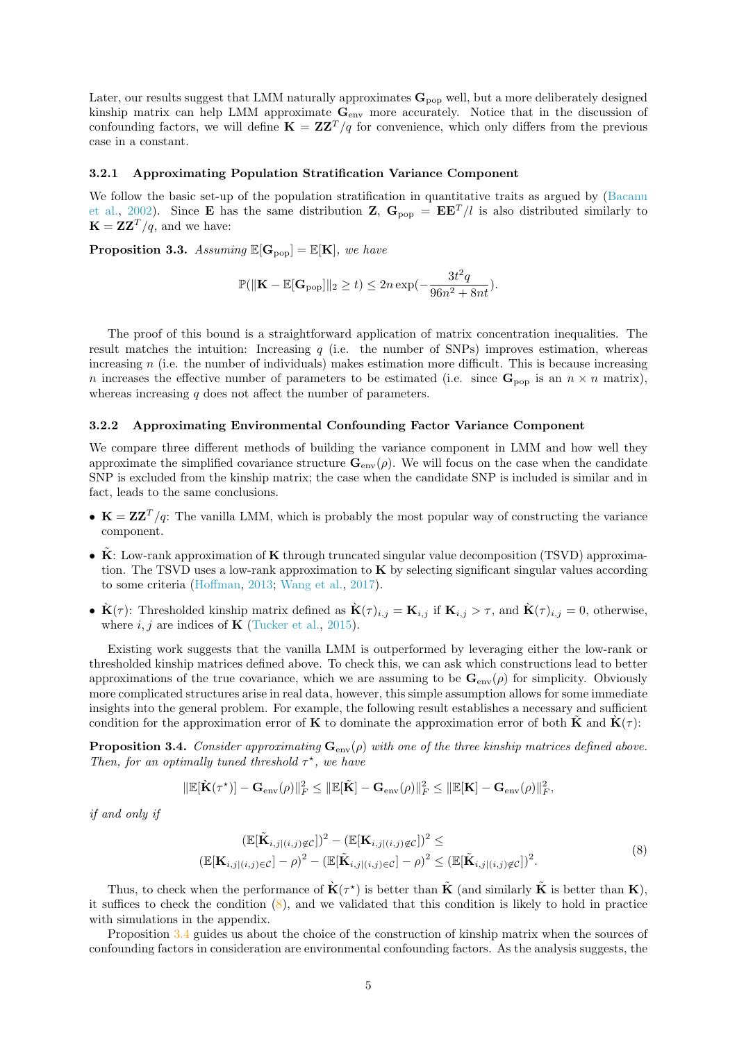Later, our results suggest that LMM naturally approximates  $\mathbf{G}_{pop}$  well, but a more deliberately designed kinship matrix can help LMM approximate  $G_{env}$  more accurately. Notice that in the discussion of confounding factors, we will define  $\mathbf{K} = \mathbf{Z}\mathbf{Z}^T/q$  for convenience, which only differs from the previous case in a constant.

#### 3.2.1 Approximating Population Stratification Variance Component

We follow the basic set-up of the population stratification in quantitative traits as argued by [\(Bacanu](#page-12-1) [et al.,](#page-12-1) [2002\)](#page-12-1). Since **E** has the same distribution **Z**,  $G_{\text{non}} = \mathbf{E} \mathbf{E}^T / l$  is also distributed similarly to  $\mathbf{K} = \mathbf{Z}\mathbf{Z}^T/q$ , and we have:

<span id="page-4-2"></span>**Proposition 3.3.** Assuming  $\mathbb{E}[G_{pop}] = \mathbb{E}[K]$ , we have

$$
\mathbb{P}(\|\mathbf{K} - \mathbb{E}[\mathbf{G}_{\text{pop}}]\|_2 \ge t) \le 2n \exp(-\frac{3t^2q}{96n^2 + 8nt}).
$$

The proof of this bound is a straightforward application of matrix concentration inequalities. The result matches the intuition: Increasing  $q$  (i.e. the number of SNPs) improves estimation, whereas increasing n (i.e. the number of individuals) makes estimation more difficult. This is because increasing n increases the effective number of parameters to be estimated (i.e. since  $\mathbf{G}_{\text{pop}}$  is an  $n \times n$  matrix), whereas increasing  $q$  does not affect the number of parameters.

#### 3.2.2 Approximating Environmental Confounding Factor Variance Component

We compare three different methods of building the variance component in LMM and how well they approximate the simplified covariance structure  $\mathbf{G}_{env}(\rho)$ . We will focus on the case when the candidate SNP is excluded from the kinship matrix; the case when the candidate SNP is included is similar and in fact, leads to the same conclusions.

- $K = ZZ^{T}/q$ : The vanilla LMM, which is probably the most popular way of constructing the variance component.
- $\overline{\mathbf{K}}$ : Low-rank approximation of  $\mathbf{K}$  through truncated singular value decomposition (TSVD) approximation. The TSVD uses a low-rank approximation to K by selecting significant singular values according to some criteria [\(Hoffman,](#page-13-13) [2013;](#page-13-13) [Wang et al.,](#page-15-4) [2017\)](#page-15-4).
- $\dot{\mathbf{K}}(\tau)$ : Thresholded kinship matrix defined as  $\dot{\mathbf{K}}(\tau)_{i,j} = \mathbf{K}_{i,j}$  if  $\mathbf{K}_{i,j} > \tau$ , and  $\dot{\mathbf{K}}(\tau)_{i,j} = 0$ , otherwise, where  $i, j$  are indices of **K** [\(Tucker et al.,](#page-14-3) [2015\)](#page-14-3).

Existing work suggests that the vanilla LMM is outperformed by leveraging either the low-rank or thresholded kinship matrices defined above. To check this, we can ask which constructions lead to better approximations of the true covariance, which we are assuming to be  $\mathbf{G}_{env}(\rho)$  for simplicity. Obviously more complicated structures arise in real data, however, this simple assumption allows for some immediate insights into the general problem. For example, the following result establishes a necessary and sufficient condition for the approximation error of **K** to dominate the approximation error of both **K** and  $\dot{\mathbf{K}}(\tau)$ :

<span id="page-4-1"></span>**Proposition 3.4.** Consider approximating  $\mathbf{G}_{env}(\rho)$  with one of the three kinship matrices defined above. Then, for an optimally tuned threshold  $\tau^*$ , we have

$$
\|\mathbb{E}[\dot{\mathbf{K}}(\tau^\star)] - \mathbf{G}_{\text{env}}(\rho)\|_F^2 \le \|\mathbb{E}[\tilde{\mathbf{K}}] - \mathbf{G}_{\text{env}}(\rho)\|_F^2 \le \|\mathbb{E}[\mathbf{K}] - \mathbf{G}_{\text{env}}(\rho)\|_F^2,
$$

if and only if

<span id="page-4-0"></span>
$$
(\mathbb{E}[\tilde{\mathbf{K}}_{i,j|(i,j)\notin\mathcal{C}}])^2 - (\mathbb{E}[\mathbf{K}_{i,j|(i,j)\notin\mathcal{C}}])^2 \le
$$
  

$$
(\mathbb{E}[\mathbf{K}_{i,j|(i,j)\in\mathcal{C}}] - \rho)^2 - (\mathbb{E}[\tilde{\mathbf{K}}_{i,j|(i,j)\in\mathcal{C}}] - \rho)^2 \le (\mathbb{E}[\tilde{\mathbf{K}}_{i,j|(i,j)\notin\mathcal{C}}])^2.
$$
 (8)

Thus, to check when the performance of  $\dot{\mathbf{K}}(\tau^*)$  is better than  $\tilde{\mathbf{K}}$  (and similarly  $\tilde{\mathbf{K}}$  is better than  $\mathbf{K}$ ), it suffices to check the condition  $(8)$ , and we validated that this condition is likely to hold in practice with simulations in the appendix.

Proposition [3.4](#page-4-1) guides us about the choice of the construction of kinship matrix when the sources of confounding factors in consideration are environmental confounding factors. As the analysis suggests, the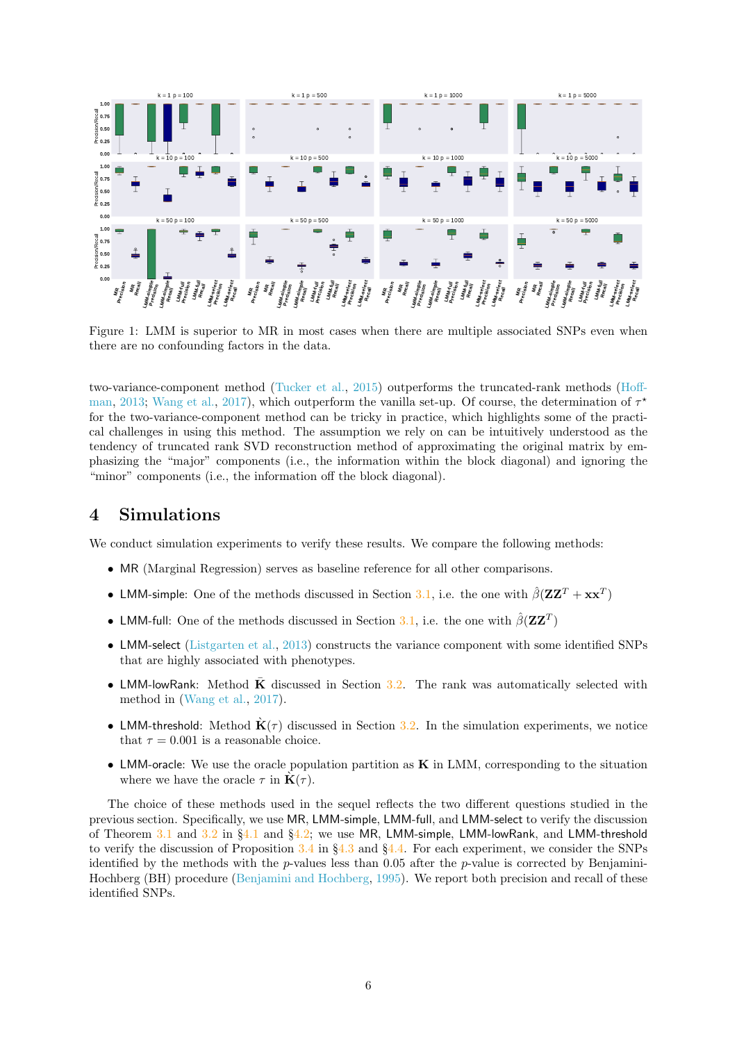<span id="page-5-0"></span>

Figure 1: LMM is superior to MR in most cases when there are multiple associated SNPs even when there are no confounding factors in the data.

two-variance-component method [\(Tucker et al.,](#page-14-3) [2015\)](#page-14-3) outperforms the truncated-rank methods [\(Hoff](#page-13-13)[man,](#page-13-13) [2013;](#page-13-13) [Wang et al.,](#page-15-4) [2017\)](#page-15-4), which outperform the vanilla set-up. Of course, the determination of  $\tau^*$ for the two-variance-component method can be tricky in practice, which highlights some of the practical challenges in using this method. The assumption we rely on can be intuitively understood as the tendency of truncated rank SVD reconstruction method of approximating the original matrix by emphasizing the "major" components (i.e., the information within the block diagonal) and ignoring the "minor" components (i.e., the information off the block diagonal).

# 4 Simulations

We conduct simulation experiments to verify these results. We compare the following methods:

- MR (Marginal Regression) serves as baseline reference for all other comparisons.
- LMM-simple: One of the methods discussed in Section [3.1,](#page-2-0) i.e. the one with  $\hat{\beta}(\mathbf{Z}\mathbf{Z}^T + \mathbf{x}\mathbf{x}^T)$
- LMM-full: One of the methods discussed in Section [3.1,](#page-2-0) i.e. the one with  $\hat{\beta}(\mathbf{Z}\mathbf{Z}^T)$
- LMM-select [\(Listgarten et al.,](#page-13-3) [2013\)](#page-13-3) constructs the variance component with some identified SNPs that are highly associated with phenotypes.
- LMM-lowRank: Method  $\overline{K}$  discussed in Section [3.2.](#page-3-0) The rank was automatically selected with method in [\(Wang et al.,](#page-15-4) [2017\)](#page-15-4).
- LMM-threshold: Method  $\dot{\mathbf{K}}(\tau)$  discussed in Section [3.2.](#page-3-0) In the simulation experiments, we notice that  $\tau = 0.001$  is a reasonable choice.
- LMM-oracle: We use the oracle population partition as  $\bf{K}$  in LMM, corresponding to the situation where we have the oracle  $\tau$  in  $\mathbf{K}(\tau)$ .

The choice of these methods used in the sequel reflects the two different questions studied in the previous section. Specifically, we use MR, LMM-simple, LMM-full, and LMM-select to verify the discussion of Theorem [3.1](#page-2-3) and [3.2](#page-3-1) in §[4.1](#page-6-0) and §[4.2;](#page-6-1) we use MR, LMM-simple, LMM-lowRank, and LMM-threshold to verify the discussion of Proposition [3.4](#page-4-1) in §[4.3](#page-7-0) and §[4.4.](#page-8-0) For each experiment, we consider the SNPs identified by the methods with the  $p$ -values less than 0.05 after the  $p$ -value is corrected by Benjamini-Hochberg (BH) procedure [\(Benjamini and Hochberg,](#page-12-2) [1995\)](#page-12-2). We report both precision and recall of these identified SNPs.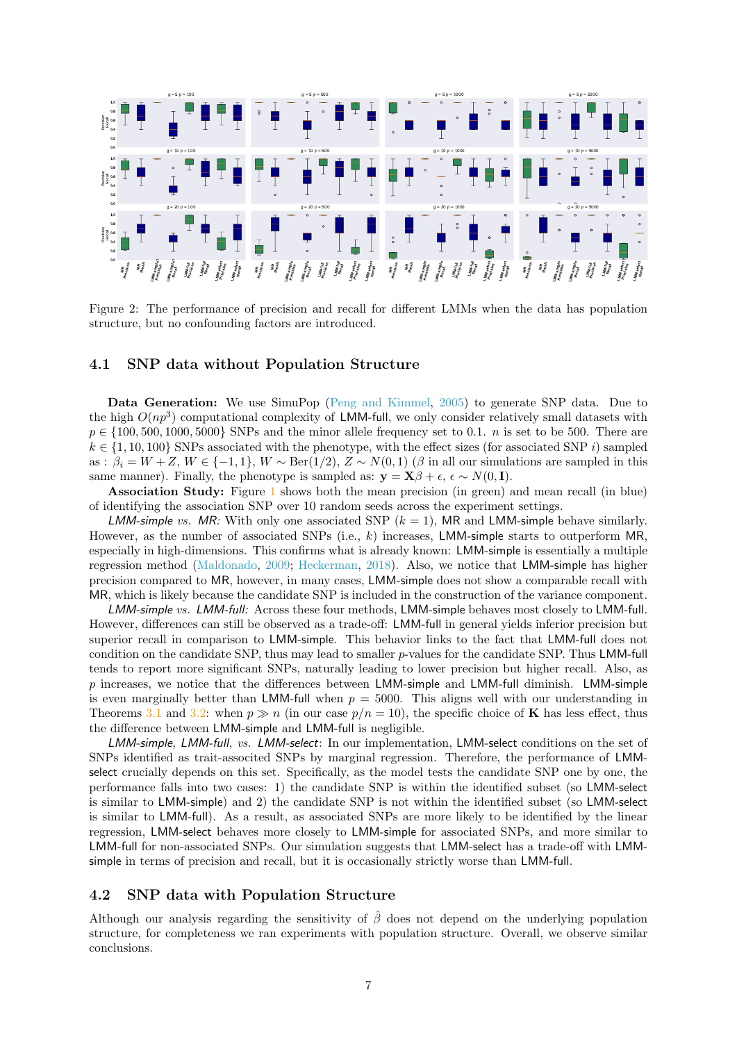<span id="page-6-2"></span>

Figure 2: The performance of precision and recall for different LMMs when the data has population structure, but no confounding factors are introduced.

#### <span id="page-6-0"></span>4.1 SNP data without Population Structure

Data Generation: We use SimuPop [\(Peng and Kimmel,](#page-14-14) [2005\)](#page-14-14) to generate SNP data. Due to the high  $O(np^3)$  computational complexity of LMM-full, we only consider relatively small datasets with  $p \in \{100, 500, 1000, 5000\}$  SNPs and the minor allele frequency set to 0.1. *n* is set to be 500. There are  $k \in \{1, 10, 100\}$  SNPs associated with the phenotype, with the effect sizes (for associated SNP i) sampled as :  $\beta_i = W + Z$ ,  $W \in \{-1, 1\}$ ,  $W \sim \text{Ber}(1/2)$ ,  $Z \sim N(0, 1)$  ( $\beta$  in all our simulations are sampled in this same manner). Finally, the phenotype is sampled as:  $\mathbf{y} = \mathbf{X}\beta + \epsilon$ ,  $\epsilon \sim N(0, \mathbf{I})$ .

Association Study: Figure [1](#page-5-0) shows both the mean precision (in green) and mean recall (in blue) of identifying the association SNP over 10 random seeds across the experiment settings.

LMM-simple vs. MR: With only one associated SNP  $(k = 1)$ , MR and LMM-simple behave similarly. However, as the number of associated SNPs (i.e.,  $k$ ) increases, LMM-simple starts to outperform MR, especially in high-dimensions. This confirms what is already known: LMM-simple is essentially a multiple regression method [\(Maldonado,](#page-14-10) [2009;](#page-14-10) [Heckerman,](#page-13-9) [2018\)](#page-13-9). Also, we notice that LMM-simple has higher precision compared to MR, however, in many cases, LMM-simple does not show a comparable recall with MR, which is likely because the candidate SNP is included in the construction of the variance component.

LMM-simple vs. LMM-full: Across these four methods, LMM-simple behaves most closely to LMM-full. However, differences can still be observed as a trade-off: LMM-full in general yields inferior precision but superior recall in comparison to LMM-simple. This behavior links to the fact that LMM-full does not condition on the candidate SNP, thus may lead to smaller p-values for the candidate SNP. Thus LMM-full tends to report more significant SNPs, naturally leading to lower precision but higher recall. Also, as  $p$  increases, we notice that the differences between LMM-simple and LMM-full diminish. LMM-simple is even marginally better than LMM-full when  $p = 5000$ . This aligns well with our understanding in Theorems [3.1](#page-2-3) and [3.2:](#page-3-1) when  $p \gg n$  (in our case  $p/n = 10$ ), the specific choice of **K** has less effect, thus the difference between LMM-simple and LMM-full is negligible.

LMM-simple, LMM-full, vs. LMM-select: In our implementation, LMM-select conditions on the set of SNPs identified as trait-associted SNPs by marginal regression. Therefore, the performance of LMMselect crucially depends on this set. Specifically, as the model tests the candidate SNP one by one, the performance falls into two cases: 1) the candidate SNP is within the identified subset (so LMM-select is similar to LMM-simple) and 2) the candidate SNP is not within the identified subset (so LMM-select is similar to LMM-full). As a result, as associated SNPs are more likely to be identified by the linear regression, LMM-select behaves more closely to LMM-simple for associated SNPs, and more similar to LMM-full for non-associated SNPs. Our simulation suggests that LMM-select has a trade-off with LMMsimple in terms of precision and recall, but it is occasionally strictly worse than LMM-full.

#### <span id="page-6-1"></span>4.2 SNP data with Population Structure

Although our analysis regarding the sensitivity of  $\hat{\beta}$  does not depend on the underlying population structure, for completeness we ran experiments with population structure. Overall, we observe similar conclusions.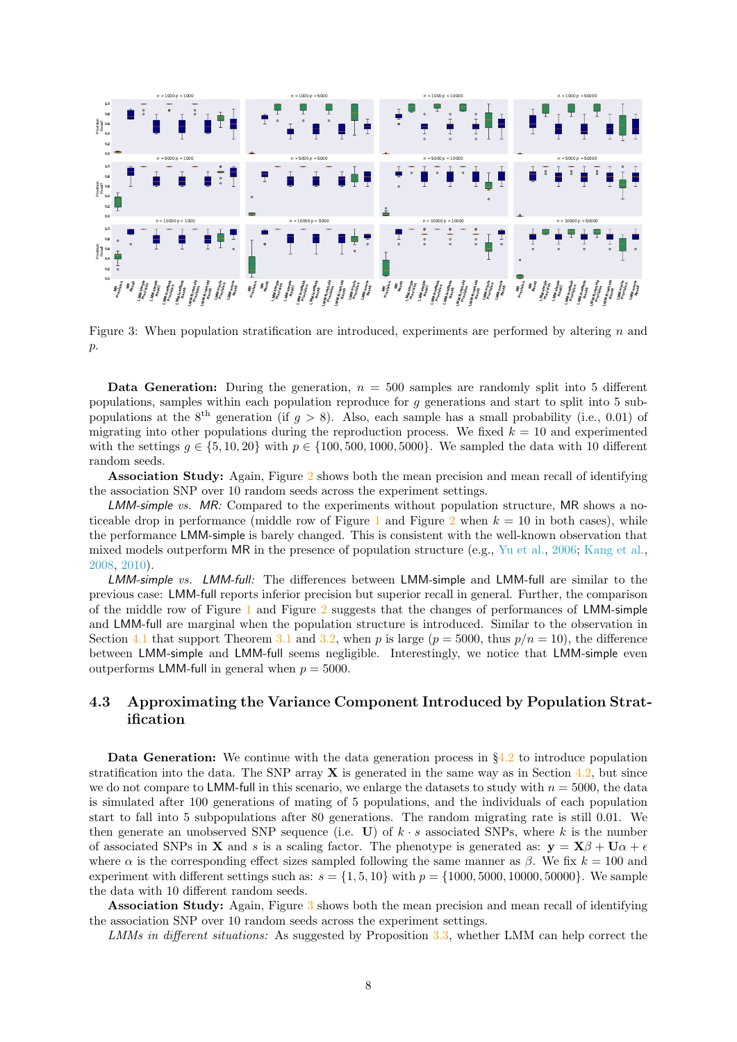<span id="page-7-1"></span>

Figure 3: When population stratification are introduced, experiments are performed by altering  $n$  and  $p$ .

**Data Generation:** During the generation,  $n = 500$  samples are randomly split into 5 different populations, samples within each population reproduce for g generations and start to split into 5 subpopulations at the 8<sup>th</sup> generation (if  $g > 8$ ). Also, each sample has a small probability (i.e., 0.01) of migrating into other populations during the reproduction process. We fixed  $k = 10$  and experimented with the settings  $g \in \{5, 10, 20\}$  with  $p \in \{100, 500, 1000, 5000\}$ . We sampled the data with 10 different random seeds.

Association Study: Again, Figure [2](#page-6-2) shows both the mean precision and mean recall of identifying the association SNP over 10 random seeds across the experiment settings.

LMM-simple vs. MR: Compared to the experiments without population structure, MR shows a no-ticeable drop in performance (middle row of Figure [1](#page-5-0) and Figure [2](#page-6-2) when  $k = 10$  in both cases), while the performance LMM-simple is barely changed. This is consistent with the well-known observation that mixed models outperform MR in the presence of population structure (e.g., [Yu et al.,](#page-15-0) [2006;](#page-15-0) [Kang et al.,](#page-13-0) [2008,](#page-13-0) [2010\)](#page-13-1).

LMM-simple vs. LMM-full: The differences between LMM-simple and LMM-full are similar to the previous case: LMM-full reports inferior precision but superior recall in general. Further, the comparison of the middle row of Figure [1](#page-5-0) and Figure [2](#page-6-2) suggests that the changes of performances of LMM-simple and LMM-full are marginal when the population structure is introduced. Similar to the observation in Section [4.1](#page-6-0) that support Theorem [3.1](#page-2-3) and [3.2,](#page-3-1) when p is large  $(p = 5000, \text{ thus } p/n = 10)$ , the difference between LMM-simple and LMM-full seems negligible. Interestingly, we notice that LMM-simple even outperforms LMM-full in general when  $p = 5000$ .

## <span id="page-7-0"></span>4.3 Approximating the Variance Component Introduced by Population Stratification

**Data Generation:** We continue with the data generation process in  $\S4.2$  $\S4.2$  to introduce population stratification into the data. The SNP array  $X$  is generated in the same way as in Section [4.2,](#page-6-1) but since we do not compare to LMM-full in this scenario, we enlarge the datasets to study with  $n = 5000$ , the data is simulated after 100 generations of mating of 5 populations, and the individuals of each population start to fall into 5 subpopulations after 80 generations. The random migrating rate is still 0.01. We then generate an unobserved SNP sequence (i.e. U) of  $k \cdot s$  associated SNPs, where k is the number of associated SNPs in **X** and s is a scaling factor. The phenotype is generated as:  $\mathbf{v} = \mathbf{X}\beta + \mathbf{U}\alpha + \epsilon$ where  $\alpha$  is the corresponding effect sizes sampled following the same manner as  $\beta$ . We fix  $k = 100$  and experiment with different settings such as:  $s = \{1, 5, 10\}$  with  $p = \{1000, 5000, 10000, 50000\}$ . We sample the data with 10 different random seeds.

Association Study: Again, Figure [3](#page-7-1) shows both the mean precision and mean recall of identifying the association SNP over 10 random seeds across the experiment settings.

LMMs in different situations: As suggested by Proposition [3.3,](#page-4-2) whether LMM can help correct the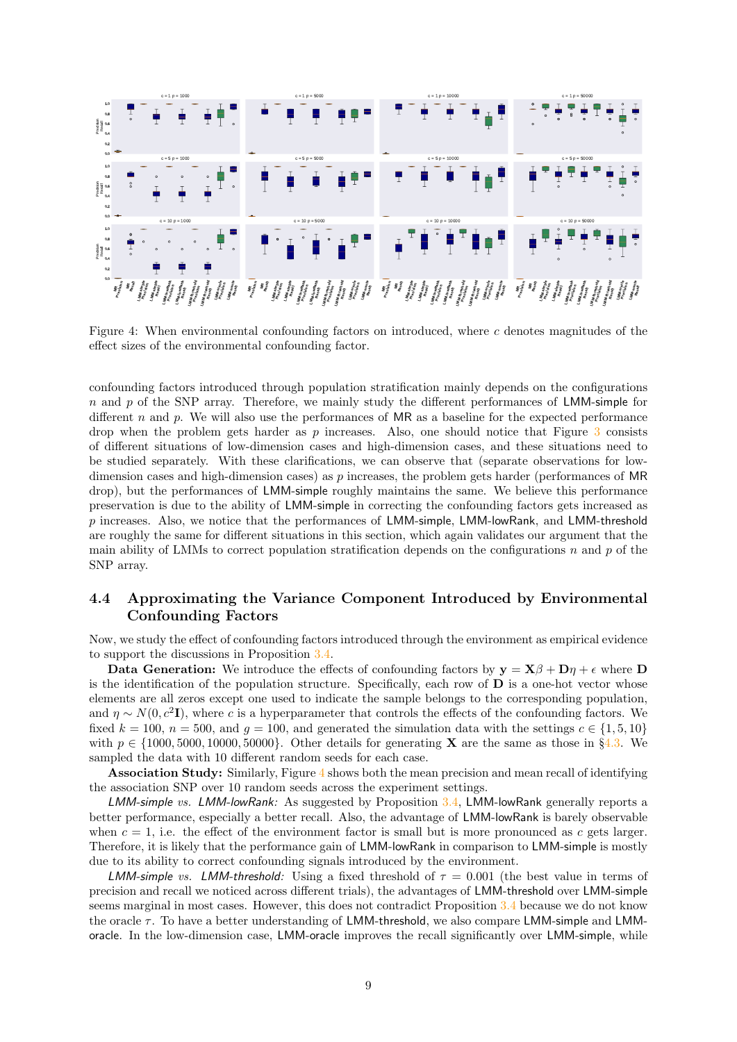<span id="page-8-1"></span>

Figure 4: When environmental confounding factors on introduced, where  $c$  denotes magnitudes of the effect sizes of the environmental confounding factor.

confounding factors introduced through population stratification mainly depends on the configurations  $n$  and p of the SNP array. Therefore, we mainly study the different performances of LMM-simple for different  $n$  and  $p$ . We will also use the performances of MR as a baseline for the expected performance drop when the problem gets harder as  $p$  increases. Also, one should notice that Figure  $3$  consists of different situations of low-dimension cases and high-dimension cases, and these situations need to be studied separately. With these clarifications, we can observe that (separate observations for lowdimension cases and high-dimension cases) as p increases, the problem gets harder (performances of MR drop), but the performances of LMM-simple roughly maintains the same. We believe this performance preservation is due to the ability of LMM-simple in correcting the confounding factors gets increased as  $p$  increases. Also, we notice that the performances of LMM-simple, LMM-lowRank, and LMM-threshold are roughly the same for different situations in this section, which again validates our argument that the main ability of LMMs to correct population stratification depends on the configurations n and p of the SNP array.

## <span id="page-8-0"></span>4.4 Approximating the Variance Component Introduced by Environmental Confounding Factors

Now, we study the effect of confounding factors introduced through the environment as empirical evidence to support the discussions in Proposition [3.4.](#page-4-1)

Data Generation: We introduce the effects of confounding factors by  $y = X\beta + D\eta + \epsilon$  where D is the identification of the population structure. Specifically, each row of  **is a one-hot vector whose** elements are all zeros except one used to indicate the sample belongs to the corresponding population, and  $\eta \sim N(0, c^2 I)$ , where c is a hyperparameter that controls the effects of the confounding factors. We fixed  $k = 100$ ,  $n = 500$ , and  $q = 100$ , and generated the simulation data with the settings  $c \in \{1, 5, 10\}$ with  $p \in \{1000, 5000, 10000, 50000\}$ . Other details for generating **X** are the same as those in §[4.3.](#page-7-0) We sampled the data with 10 different random seeds for each case.

Association Study: Similarly, Figure [4](#page-8-1) shows both the mean precision and mean recall of identifying the association SNP over 10 random seeds across the experiment settings.

LMM-simple vs. LMM-lowRank: As suggested by Proposition [3.4,](#page-4-1) LMM-lowRank generally reports a better performance, especially a better recall. Also, the advantage of LMM-lowRank is barely observable when  $c = 1$ , i.e. the effect of the environment factor is small but is more pronounced as c gets larger. Therefore, it is likely that the performance gain of LMM-lowRank in comparison to LMM-simple is mostly due to its ability to correct confounding signals introduced by the environment.

LMM-simple vs. LMM-threshold: Using a fixed threshold of  $\tau = 0.001$  (the best value in terms of precision and recall we noticed across different trials), the advantages of LMM-threshold over LMM-simple seems marginal in most cases. However, this does not contradict Proposition [3.4](#page-4-1) because we do not know the oracle  $\tau$ . To have a better understanding of LMM-threshold, we also compare LMM-simple and LMMoracle. In the low-dimension case, LMM-oracle improves the recall significantly over LMM-simple, while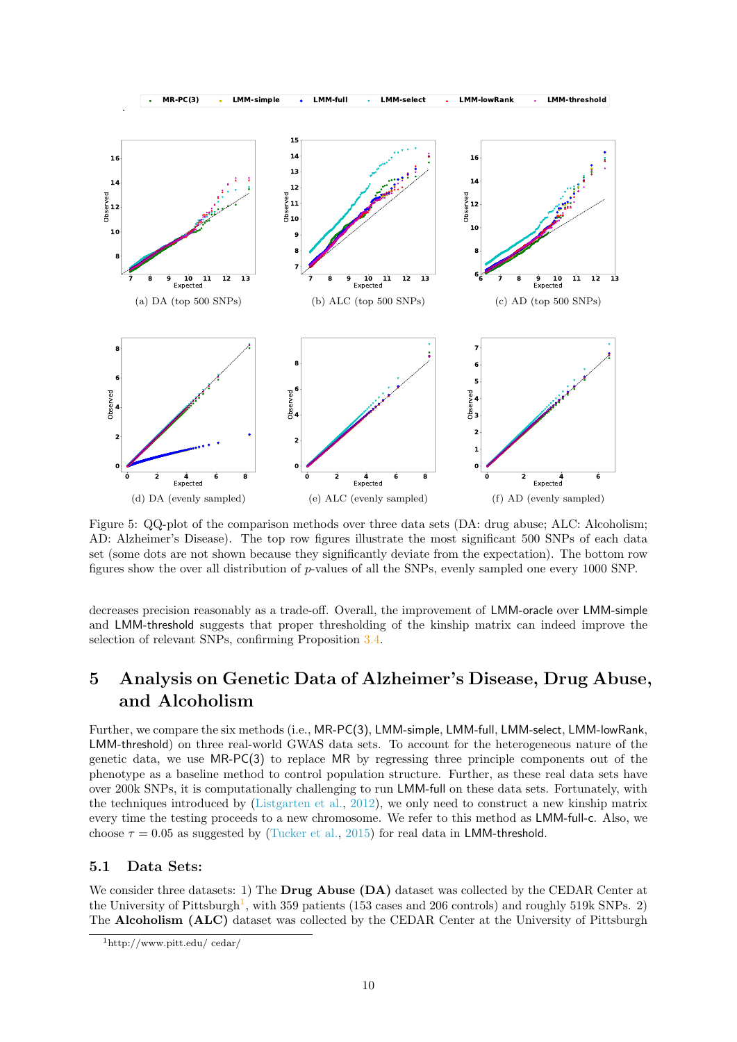<span id="page-9-1"></span>

Figure 5: QQ-plot of the comparison methods over three data sets (DA: drug abuse; ALC: Alcoholism; AD: Alzheimer's Disease). The top row figures illustrate the most significant 500 SNPs of each data set (some dots are not shown because they significantly deviate from the expectation). The bottom row figures show the over all distribution of p-values of all the SNPs, evenly sampled one every 1000 SNP.

decreases precision reasonably as a trade-off. Overall, the improvement of LMM-oracle over LMM-simple and LMM-threshold suggests that proper thresholding of the kinship matrix can indeed improve the selection of relevant SNPs, confirming Proposition [3.4.](#page-4-1)

# 5 Analysis on Genetic Data of Alzheimer's Disease, Drug Abuse, and Alcoholism

Further, we compare the six methods (i.e., MR-PC(3), LMM-simple, LMM-full, LMM-select, LMM-lowRank, LMM-threshold) on three real-world GWAS data sets. To account for the heterogeneous nature of the genetic data, we use MR-PC(3) to replace MR by regressing three principle components out of the phenotype as a baseline method to control population structure. Further, as these real data sets have over 200k SNPs, it is computationally challenging to run LMM-full on these data sets. Fortunately, with the techniques introduced by [\(Listgarten et al.,](#page-13-14) [2012\)](#page-13-14), we only need to construct a new kinship matrix every time the testing proceeds to a new chromosome. We refer to this method as LMM-full-c. Also, we choose  $\tau = 0.05$  as suggested by [\(Tucker et al.,](#page-14-3) [2015\)](#page-14-3) for real data in LMM-threshold.

### 5.1 Data Sets:

We consider three datasets: 1) The **Drug Abuse (DA)** dataset was collected by the CEDAR Center at the University of Pittsburgh<sup>[1](#page-9-0)</sup>, with 359 patients (153 cases and 206 controls) and roughly 519k SNPs. 2) The Alcoholism (ALC) dataset was collected by the CEDAR Center at the University of Pittsburgh

<span id="page-9-0"></span><sup>1</sup>http://www.pitt.edu/ cedar/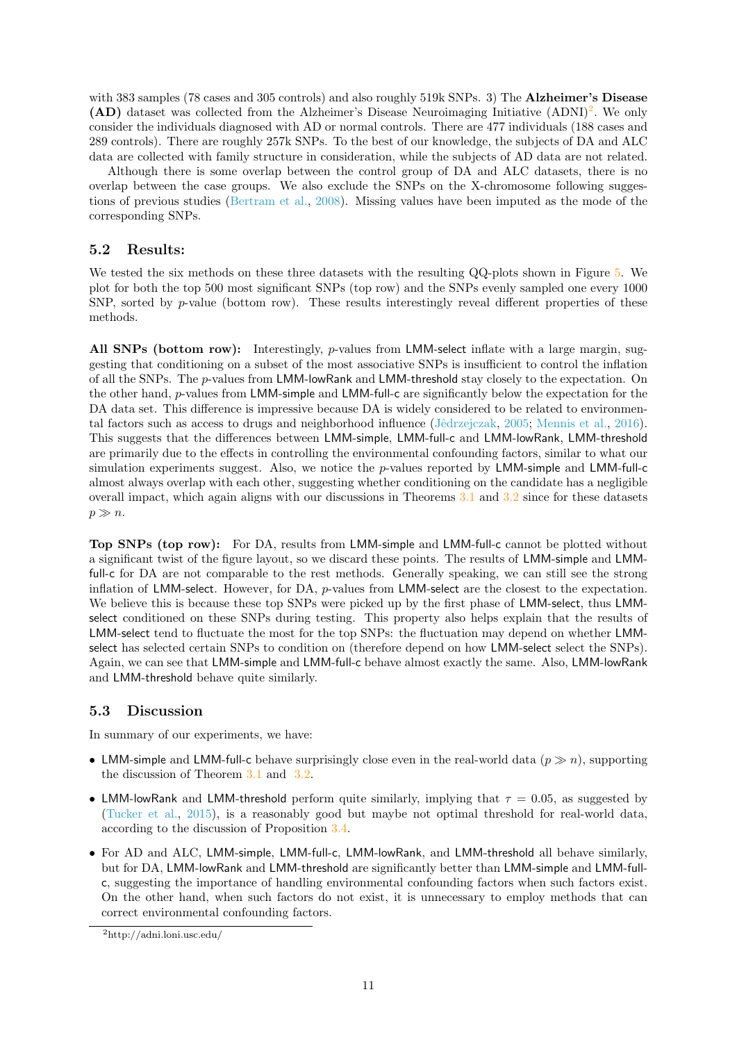with 383 samples (78 cases and 305 controls) and also roughly 519k SNPs. 3) The **Alzheimer's Disease** (AD) dataset was collected from the Alzheimer's Disease Neuroimaging Initiative (ADNI)<sup>[2](#page-10-0)</sup>. We only consider the individuals diagnosed with AD or normal controls. There are 477 individuals (188 cases and 289 controls). There are roughly 257k SNPs. To the best of our knowledge, the subjects of DA and ALC data are collected with family structure in consideration, while the subjects of AD data are not related.

Although there is some overlap between the control group of DA and ALC datasets, there is no overlap between the case groups. We also exclude the SNPs on the X-chromosome following suggestions of previous studies [\(Bertram et al.,](#page-12-3) [2008\)](#page-12-3). Missing values have been imputed as the mode of the corresponding SNPs.

## 5.2 Results:

We tested the six methods on these three datasets with the resulting QQ-plots shown in Figure [5.](#page-9-1) We plot for both the top 500 most significant SNPs (top row) and the SNPs evenly sampled one every 1000 SNP, sorted by  $p$ -value (bottom row). These results interestingly reveal different properties of these methods.

All SNPs (bottom row): Interestingly,  $p$ -values from LMM-select inflate with a large margin, suggesting that conditioning on a subset of the most associative SNPs is insufficient to control the inflation of all the SNPs. The p-values from LMM-lowRank and LMM-threshold stay closely to the expectation. On the other hand, p-values from LMM-simple and LMM-full-c are significantly below the expectation for the DA data set. This difference is impressive because DA is widely considered to be related to environmental factors such as access to drugs and neighborhood influence [\(Jˆedrzejczak,](#page-13-15) [2005;](#page-13-15) [Mennis et al.,](#page-14-15) [2016\)](#page-14-15). This suggests that the differences between LMM-simple, LMM-full-c and LMM-lowRank, LMM-threshold are primarily due to the effects in controlling the environmental confounding factors, similar to what our simulation experiments suggest. Also, we notice the  $p$ -values reported by LMM-simple and LMM-full-c almost always overlap with each other, suggesting whether conditioning on the candidate has a negligible overall impact, which again aligns with our discussions in Theorems [3.1](#page-2-3) and [3.2](#page-3-1) since for these datasets  $p \gg n$ .

Top SNPs (top row): For DA, results from LMM-simple and LMM-full-c cannot be plotted without a significant twist of the figure layout, so we discard these points. The results of LMM-simple and LMMfull-c for DA are not comparable to the rest methods. Generally speaking, we can still see the strong inflation of LMM-select. However, for DA,  $p$ -values from LMM-select are the closest to the expectation. We believe this is because these top SNPs were picked up by the first phase of LMM-select, thus LMMselect conditioned on these SNPs during testing. This property also helps explain that the results of LMM-select tend to fluctuate the most for the top SNPs: the fluctuation may depend on whether LMMselect has selected certain SNPs to condition on (therefore depend on how LMM-select select the SNPs). Again, we can see that LMM-simple and LMM-full-c behave almost exactly the same. Also, LMM-lowRank and LMM-threshold behave quite similarly.

### 5.3 Discussion

In summary of our experiments, we have:

- LMM-simple and LMM-full-c behave surprisingly close even in the real-world data  $(p \gg n)$ , supporting the discussion of Theorem [3.1](#page-2-3) and [3.2.](#page-3-1)
- LMM-lowRank and LMM-threshold perform quite similarly, implying that  $\tau = 0.05$ , as suggested by [\(Tucker et al.,](#page-14-3) [2015\)](#page-14-3), is a reasonably good but maybe not optimal threshold for real-world data, according to the discussion of Proposition [3.4.](#page-4-1)
- For AD and ALC, LMM-simple, LMM-full-c, LMM-lowRank, and LMM-threshold all behave similarly, but for DA, LMM-lowRank and LMM-threshold are significantly better than LMM-simple and LMM-fullc, suggesting the importance of handling environmental confounding factors when such factors exist. On the other hand, when such factors do not exist, it is unnecessary to employ methods that can correct environmental confounding factors.

<span id="page-10-0"></span><sup>2</sup>http://adni.loni.usc.edu/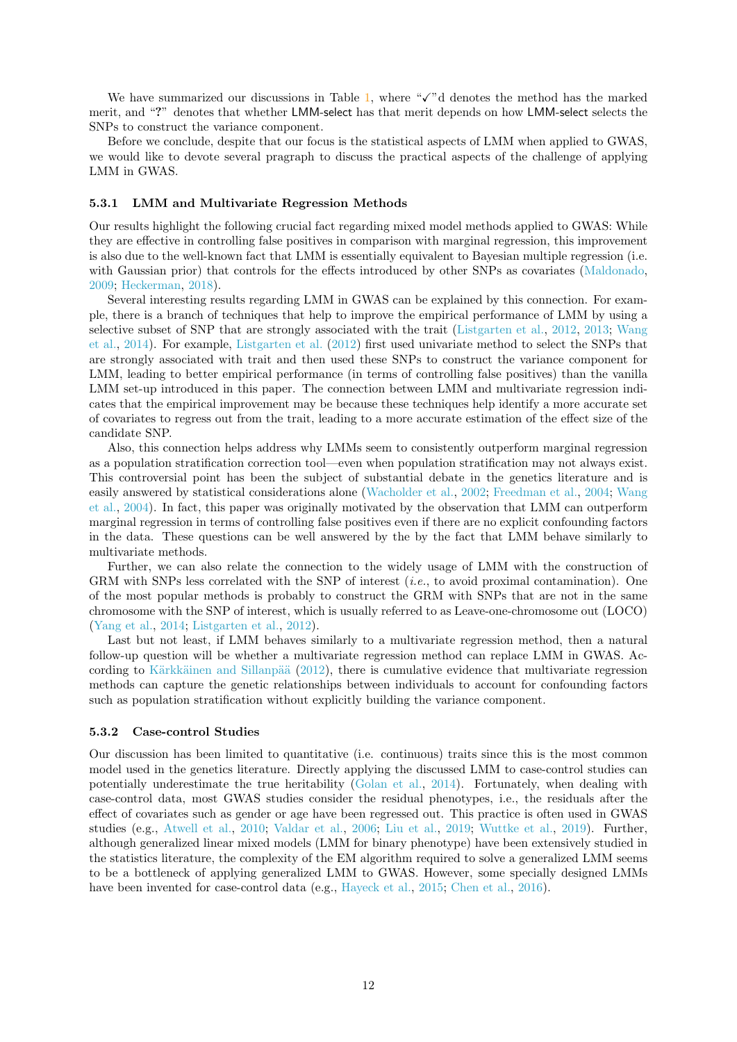We have summarized our discussions in Table [1,](#page-1-0) where " $\checkmark$ "d denotes the method has the marked merit, and "?" denotes that whether LMM-select has that merit depends on how LMM-select selects the SNPs to construct the variance component.

Before we conclude, despite that our focus is the statistical aspects of LMM when applied to GWAS, we would like to devote several pragraph to discuss the practical aspects of the challenge of applying LMM in GWAS.

#### 5.3.1 LMM and Multivariate Regression Methods

Our results highlight the following crucial fact regarding mixed model methods applied to GWAS: While they are effective in controlling false positives in comparison with marginal regression, this improvement is also due to the well-known fact that LMM is essentially equivalent to Bayesian multiple regression (i.e. with Gaussian prior) that controls for the effects introduced by other SNPs as covariates [\(Maldonado,](#page-14-10) [2009;](#page-14-10) [Heckerman,](#page-13-9) [2018\)](#page-13-9).

Several interesting results regarding LMM in GWAS can be explained by this connection. For example, there is a branch of techniques that help to improve the empirical performance of LMM by using a selective subset of SNP that are strongly associated with the trait [\(Listgarten et al.,](#page-13-14) [2012,](#page-13-14) [2013;](#page-13-3) [Wang](#page-15-9) [et al.,](#page-15-9) [2014\)](#page-15-9). For example, [Listgarten et al.](#page-13-14) [\(2012\)](#page-13-14) first used univariate method to select the SNPs that are strongly associated with trait and then used these SNPs to construct the variance component for LMM, leading to better empirical performance (in terms of controlling false positives) than the vanilla LMM set-up introduced in this paper. The connection between LMM and multivariate regression indicates that the empirical improvement may be because these techniques help identify a more accurate set of covariates to regress out from the trait, leading to a more accurate estimation of the effect size of the candidate SNP.

Also, this connection helps address why LMMs seem to consistently outperform marginal regression as a population stratification correction tool—even when population stratification may not always exist. This controversial point has been the subject of substantial debate in the genetics literature and is easily answered by statistical considerations alone [\(Wacholder et al.,](#page-15-7) [2002;](#page-15-7) [Freedman et al.,](#page-13-10) [2004;](#page-13-10) [Wang](#page-15-8) [et al.,](#page-15-8) [2004\)](#page-15-8). In fact, this paper was originally motivated by the observation that LMM can outperform marginal regression in terms of controlling false positives even if there are no explicit confounding factors in the data. These questions can be well answered by the by the fact that LMM behave similarly to multivariate methods.

Further, we can also relate the connection to the widely usage of LMM with the construction of GRM with SNPs less correlated with the SNP of interest *(i.e., to avoid proximal contamination)*. One of the most popular methods is probably to construct the GRM with SNPs that are not in the same chromosome with the SNP of interest, which is usually referred to as Leave-one-chromosome out (LOCO) [\(Yang et al.,](#page-15-3) [2014;](#page-15-3) [Listgarten et al.,](#page-13-14) [2012\)](#page-13-14).

Last but not least, if LMM behaves similarly to a multivariate regression method, then a natural follow-up question will be whether a multivariate regression method can replace LMM in GWAS. According to Kärkkäinen and Sillanpää  $(2012)$ , there is cumulative evidence that multivariate regression methods can capture the genetic relationships between individuals to account for confounding factors such as population stratification without explicitly building the variance component.

#### 5.3.2 Case-control Studies

Our discussion has been limited to quantitative (i.e. continuous) traits since this is the most common model used in the genetics literature. Directly applying the discussed LMM to case-control studies can potentially underestimate the true heritability [\(Golan et al.,](#page-13-17) [2014\)](#page-13-17). Fortunately, when dealing with case-control data, most GWAS studies consider the residual phenotypes, i.e., the residuals after the effect of covariates such as gender or age have been regressed out. This practice is often used in GWAS studies (e.g., [Atwell et al.,](#page-12-4) [2010;](#page-12-4) [Valdar et al.,](#page-14-16) [2006;](#page-14-16) [Liu et al.,](#page-13-18) [2019;](#page-13-18) [Wuttke et al.,](#page-15-10) [2019\)](#page-15-10). Further, although generalized linear mixed models (LMM for binary phenotype) have been extensively studied in the statistics literature, the complexity of the EM algorithm required to solve a generalized LMM seems to be a bottleneck of applying generalized LMM to GWAS. However, some specially designed LMMs have been invented for case-control data (e.g., [Hayeck et al.,](#page-13-19) [2015;](#page-13-19) [Chen et al.,](#page-12-5) [2016\)](#page-12-5).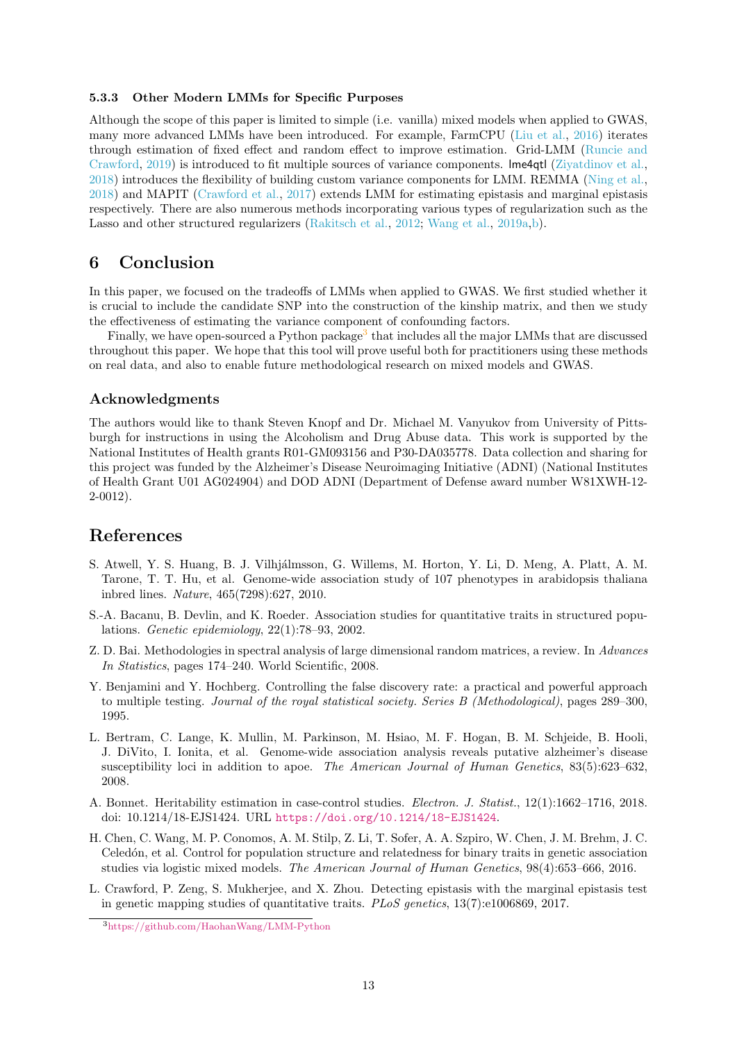#### 5.3.3 Other Modern LMMs for Specific Purposes

Although the scope of this paper is limited to simple (i.e. vanilla) mixed models when applied to GWAS, many more advanced LMMs have been introduced. For example, FarmCPU [\(Liu et al.,](#page-13-20) [2016\)](#page-13-20) iterates through estimation of fixed effect and random effect to improve estimation. Grid-LMM [\(Runcie and](#page-14-17) [Crawford,](#page-14-17) [2019\)](#page-14-17) is introduced to fit multiple sources of variance components. lme4qtl [\(Ziyatdinov et al.,](#page-15-11) [2018\)](#page-15-11) introduces the flexibility of building custom variance components for LMM. REMMA [\(Ning et al.,](#page-14-18) [2018\)](#page-14-18) and MAPIT [\(Crawford et al.,](#page-12-6) [2017\)](#page-12-6) extends LMM for estimating epistasis and marginal epistasis respectively. There are also numerous methods incorporating various types of regularization such as the Lasso and other structured regularizers [\(Rakitsch et al.,](#page-14-19) [2012;](#page-14-19) [Wang et al.,](#page-15-12) [2019a,](#page-15-12)[b\)](#page-15-13).

## 6 Conclusion

In this paper, we focused on the tradeoffs of LMMs when applied to GWAS. We first studied whether it is crucial to include the candidate SNP into the construction of the kinship matrix, and then we study the effectiveness of estimating the variance component of confounding factors.

Finally, we have open-sourced a Python package<sup>[3](#page-12-7)</sup> that includes all the major LMMs that are discussed throughout this paper. We hope that this tool will prove useful both for practitioners using these methods on real data, and also to enable future methodological research on mixed models and GWAS.

### Acknowledgments

The authors would like to thank Steven Knopf and Dr. Michael M. Vanyukov from University of Pittsburgh for instructions in using the Alcoholism and Drug Abuse data. This work is supported by the National Institutes of Health grants R01-GM093156 and P30-DA035778. Data collection and sharing for this project was funded by the Alzheimer's Disease Neuroimaging Initiative (ADNI) (National Institutes of Health Grant U01 AG024904) and DOD ADNI (Department of Defense award number W81XWH-12- 2-0012).

## References

- <span id="page-12-4"></span>S. Atwell, Y. S. Huang, B. J. Vilhjálmsson, G. Willems, M. Horton, Y. Li, D. Meng, A. Platt, A. M. Tarone, T. T. Hu, et al. Genome-wide association study of 107 phenotypes in arabidopsis thaliana inbred lines. Nature, 465(7298):627, 2010.
- <span id="page-12-1"></span>S.-A. Bacanu, B. Devlin, and K. Roeder. Association studies for quantitative traits in structured populations. Genetic epidemiology, 22(1):78–93, 2002.
- <span id="page-12-8"></span>Z. D. Bai. Methodologies in spectral analysis of large dimensional random matrices, a review. In Advances In Statistics, pages 174–240. World Scientific, 2008.
- <span id="page-12-2"></span>Y. Benjamini and Y. Hochberg. Controlling the false discovery rate: a practical and powerful approach to multiple testing. Journal of the royal statistical society. Series B (Methodological), pages 289–300, 1995.
- <span id="page-12-3"></span>L. Bertram, C. Lange, K. Mullin, M. Parkinson, M. Hsiao, M. F. Hogan, B. M. Schjeide, B. Hooli, J. DiVito, I. Ionita, et al. Genome-wide association analysis reveals putative alzheimer's disease susceptibility loci in addition to apoe. The American Journal of Human Genetics, 83(5):623–632, 2008.
- <span id="page-12-0"></span>A. Bonnet. Heritability estimation in case-control studies. Electron. J. Statist., 12(1):1662–1716, 2018. doi: 10.1214/18-EJS1424. URL <https://doi.org/10.1214/18-EJS1424>.
- <span id="page-12-5"></span>H. Chen, C. Wang, M. P. Conomos, A. M. Stilp, Z. Li, T. Sofer, A. A. Szpiro, W. Chen, J. M. Brehm, J. C. Celedón, et al. Control for population structure and relatedness for binary traits in genetic association studies via logistic mixed models. The American Journal of Human Genetics, 98(4):653–666, 2016.
- <span id="page-12-6"></span>L. Crawford, P. Zeng, S. Mukherjee, and X. Zhou. Detecting epistasis with the marginal epistasis test in genetic mapping studies of quantitative traits.  $PLoS$  genetics, 13(7):e1006869, 2017.

<span id="page-12-7"></span><sup>3</sup><https://github.com/HaohanWang/LMM-Python>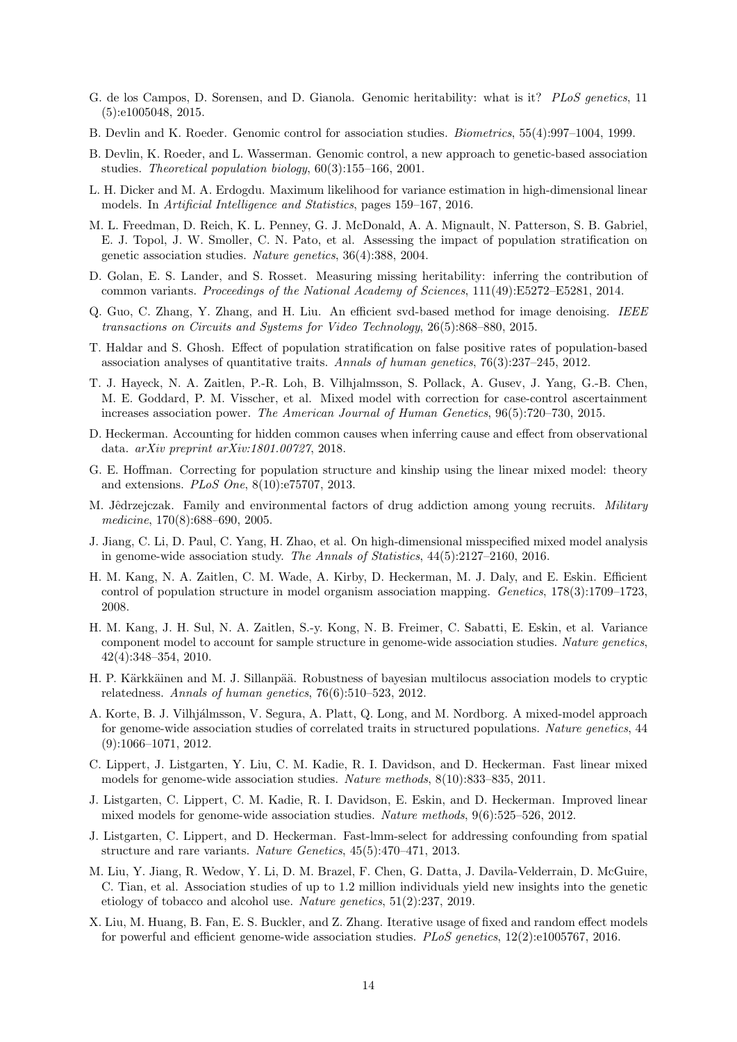- <span id="page-13-4"></span>G. de los Campos, D. Sorensen, and D. Gianola. Genomic heritability: what is it? PLoS genetics, 11 (5):e1005048, 2015.
- <span id="page-13-11"></span>B. Devlin and K. Roeder. Genomic control for association studies. Biometrics, 55(4):997–1004, 1999.
- <span id="page-13-12"></span>B. Devlin, K. Roeder, and L. Wasserman. Genomic control, a new approach to genetic-based association studies. Theoretical population biology, 60(3):155–166, 2001.
- <span id="page-13-5"></span>L. H. Dicker and M. A. Erdogdu. Maximum likelihood for variance estimation in high-dimensional linear models. In Artificial Intelligence and Statistics, pages 159–167, 2016.
- <span id="page-13-10"></span>M. L. Freedman, D. Reich, K. L. Penney, G. J. McDonald, A. A. Mignault, N. Patterson, S. B. Gabriel, E. J. Topol, J. W. Smoller, C. N. Pato, et al. Assessing the impact of population stratification on genetic association studies. Nature genetics, 36(4):388, 2004.
- <span id="page-13-17"></span>D. Golan, E. S. Lander, and S. Rosset. Measuring missing heritability: inferring the contribution of common variants. Proceedings of the National Academy of Sciences, 111(49):E5272–E5281, 2014.
- <span id="page-13-21"></span>Q. Guo, C. Zhang, Y. Zhang, and H. Liu. An efficient svd-based method for image denoising. IEEE transactions on Circuits and Systems for Video Technology, 26(5):868–880, 2015.
- <span id="page-13-7"></span>T. Haldar and S. Ghosh. Effect of population stratification on false positive rates of population-based association analyses of quantitative traits. Annals of human genetics, 76(3):237–245, 2012.
- <span id="page-13-19"></span>T. J. Hayeck, N. A. Zaitlen, P.-R. Loh, B. Vilhjalmsson, S. Pollack, A. Gusev, J. Yang, G.-B. Chen, M. E. Goddard, P. M. Visscher, et al. Mixed model with correction for case-control ascertainment increases association power. The American Journal of Human Genetics, 96(5):720–730, 2015.
- <span id="page-13-9"></span>D. Heckerman. Accounting for hidden common causes when inferring cause and effect from observational data. arXiv preprint arXiv:1801.00727, 2018.
- <span id="page-13-13"></span>G. E. Hoffman. Correcting for population structure and kinship using the linear mixed model: theory and extensions. PLoS One, 8(10):e75707, 2013.
- <span id="page-13-15"></span>M. Jêdrzejczak. Family and environmental factors of drug addiction among young recruits. Military medicine, 170(8):688–690, 2005.
- <span id="page-13-6"></span>J. Jiang, C. Li, D. Paul, C. Yang, H. Zhao, et al. On high-dimensional misspecified mixed model analysis in genome-wide association study. The Annals of Statistics, 44(5):2127–2160, 2016.
- <span id="page-13-0"></span>H. M. Kang, N. A. Zaitlen, C. M. Wade, A. Kirby, D. Heckerman, M. J. Daly, and E. Eskin. Efficient control of population structure in model organism association mapping. Genetics, 178(3):1709–1723, 2008.
- <span id="page-13-1"></span>H. M. Kang, J. H. Sul, N. A. Zaitlen, S.-y. Kong, N. B. Freimer, C. Sabatti, E. Eskin, et al. Variance component model to account for sample structure in genome-wide association studies. Nature genetics, 42(4):348–354, 2010.
- <span id="page-13-16"></span>H. P. Kärkkäinen and M. J. Sillanpää. Robustness of bayesian multilocus association models to cryptic relatedness. Annals of human genetics, 76(6):510–523, 2012.
- <span id="page-13-2"></span>A. Korte, B. J. Vilhjálmsson, V. Segura, A. Platt, Q. Long, and M. Nordborg. A mixed-model approach for genome-wide association studies of correlated traits in structured populations. Nature genetics, 44 (9):1066–1071, 2012.
- <span id="page-13-8"></span>C. Lippert, J. Listgarten, Y. Liu, C. M. Kadie, R. I. Davidson, and D. Heckerman. Fast linear mixed models for genome-wide association studies. Nature methods, 8(10):833–835, 2011.
- <span id="page-13-14"></span>J. Listgarten, C. Lippert, C. M. Kadie, R. I. Davidson, E. Eskin, and D. Heckerman. Improved linear mixed models for genome-wide association studies. Nature methods, 9(6):525–526, 2012.
- <span id="page-13-3"></span>J. Listgarten, C. Lippert, and D. Heckerman. Fast-lmm-select for addressing confounding from spatial structure and rare variants. Nature Genetics, 45(5):470–471, 2013.
- <span id="page-13-18"></span>M. Liu, Y. Jiang, R. Wedow, Y. Li, D. M. Brazel, F. Chen, G. Datta, J. Davila-Velderrain, D. McGuire, C. Tian, et al. Association studies of up to 1.2 million individuals yield new insights into the genetic etiology of tobacco and alcohol use. Nature genetics, 51(2):237, 2019.
- <span id="page-13-20"></span>X. Liu, M. Huang, B. Fan, E. S. Buckler, and Z. Zhang. Iterative usage of fixed and random effect models for powerful and efficient genome-wide association studies. PLoS genetics, 12(2):e1005767, 2016.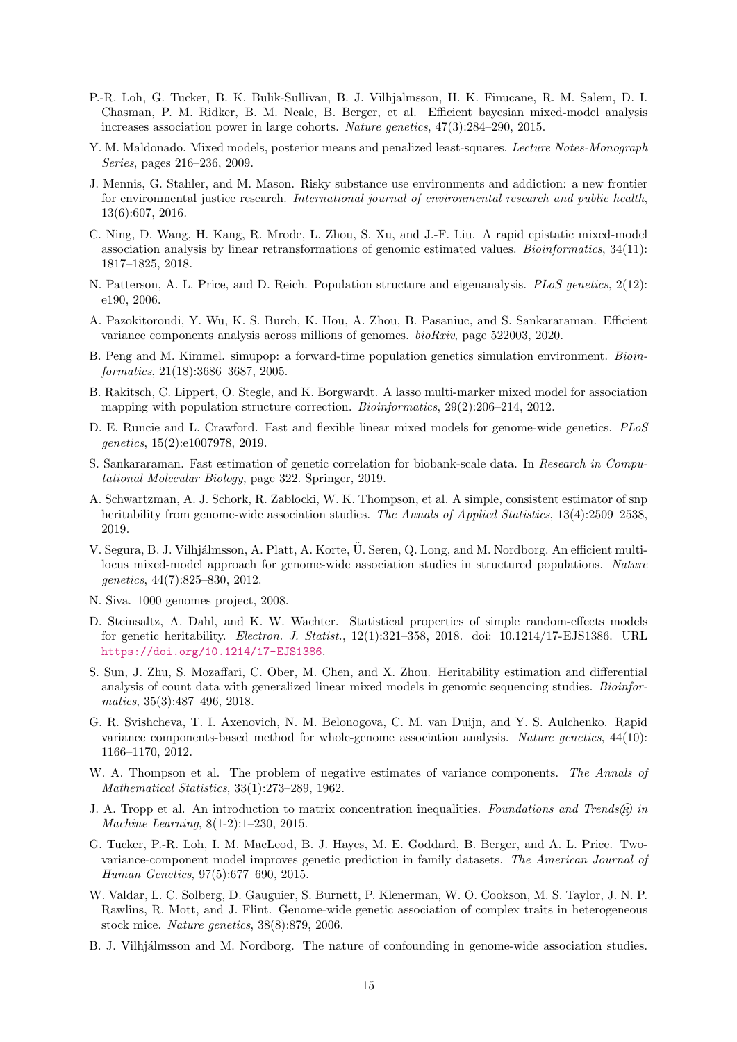- <span id="page-14-2"></span>P.-R. Loh, G. Tucker, B. K. Bulik-Sullivan, B. J. Vilhjalmsson, H. K. Finucane, R. M. Salem, D. I. Chasman, P. M. Ridker, B. M. Neale, B. Berger, et al. Efficient bayesian mixed-model analysis increases association power in large cohorts. Nature genetics, 47(3):284–290, 2015.
- <span id="page-14-10"></span>Y. M. Maldonado. Mixed models, posterior means and penalized least-squares. Lecture Notes-Monograph Series, pages 216–236, 2009.
- <span id="page-14-15"></span>J. Mennis, G. Stahler, and M. Mason. Risky substance use environments and addiction: a new frontier for environmental justice research. International journal of environmental research and public health, 13(6):607, 2016.
- <span id="page-14-18"></span>C. Ning, D. Wang, H. Kang, R. Mrode, L. Zhou, S. Xu, and J.-F. Liu. A rapid epistatic mixed-model association analysis by linear retransformations of genomic estimated values. Bioinformatics, 34(11): 1817–1825, 2018.
- <span id="page-14-11"></span>N. Patterson, A. L. Price, and D. Reich. Population structure and eigenanalysis. *PLoS genetics*, 2(12): e190, 2006.
- <span id="page-14-8"></span>A. Pazokitoroudi, Y. Wu, K. S. Burch, K. Hou, A. Zhou, B. Pasaniuc, and S. Sankararaman. Efficient variance components analysis across millions of genomes. bioRxiv, page 522003, 2020.
- <span id="page-14-14"></span>B. Peng and M. Kimmel. simupop: a forward-time population genetics simulation environment. Bioinformatics, 21(18):3686–3687, 2005.
- <span id="page-14-19"></span>B. Rakitsch, C. Lippert, O. Stegle, and K. Borgwardt. A lasso multi-marker mixed model for association mapping with population structure correction. Bioinformatics, 29(2):206–214, 2012.
- <span id="page-14-17"></span>D. E. Runcie and L. Crawford. Fast and flexible linear mixed models for genome-wide genetics. PLoS genetics, 15(2):e1007978, 2019.
- <span id="page-14-6"></span>S. Sankararaman. Fast estimation of genetic correlation for biobank-scale data. In Research in Computational Molecular Biology, page 322. Springer, 2019.
- <span id="page-14-7"></span>A. Schwartzman, A. J. Schork, R. Zablocki, W. K. Thompson, et al. A simple, consistent estimator of snp heritability from genome-wide association studies. The Annals of Applied Statistics, 13(4):2509–2538, 2019.
- <span id="page-14-0"></span>V. Segura, B. J. Vilhjálmsson, A. Platt, A. Korte, Ü. Seren, Q. Long, and M. Nordborg. An efficient multilocus mixed-model approach for genome-wide association studies in structured populations. Nature genetics, 44(7):825–830, 2012.
- <span id="page-14-13"></span>N. Siva. 1000 genomes project, 2008.
- <span id="page-14-4"></span>D. Steinsaltz, A. Dahl, and K. W. Wachter. Statistical properties of simple random-effects models for genetic heritability. Electron. J. Statist., 12(1):321–358, 2018. doi: 10.1214/17-EJS1386. URL <https://doi.org/10.1214/17-EJS1386>.
- <span id="page-14-5"></span>S. Sun, J. Zhu, S. Mozaffari, C. Ober, M. Chen, and X. Zhou. Heritability estimation and differential analysis of count data with generalized linear mixed models in genomic sequencing studies. *Bioinfor*matics, 35(3):487–496, 2018.
- <span id="page-14-1"></span>G. R. Svishcheva, T. I. Axenovich, N. M. Belonogova, C. M. van Duijn, and Y. S. Aulchenko. Rapid variance components-based method for whole-genome association analysis. Nature genetics, 44(10): 1166–1170, 2012.
- <span id="page-14-9"></span>W. A. Thompson et al. The problem of negative estimates of variance components. The Annals of Mathematical Statistics, 33(1):273–289, 1962.
- <span id="page-14-20"></span>J. A. Tropp et al. An introduction to matrix concentration inequalities. Foundations and Trends® in Machine Learning, 8(1-2):1–230, 2015.
- <span id="page-14-3"></span>G. Tucker, P.-R. Loh, I. M. MacLeod, B. J. Hayes, M. E. Goddard, B. Berger, and A. L. Price. Twovariance-component model improves genetic prediction in family datasets. The American Journal of Human Genetics, 97(5):677–690, 2015.
- <span id="page-14-16"></span>W. Valdar, L. C. Solberg, D. Gauguier, S. Burnett, P. Klenerman, W. O. Cookson, M. S. Taylor, J. N. P. Rawlins, R. Mott, and J. Flint. Genome-wide genetic association of complex traits in heterogeneous stock mice. Nature genetics, 38(8):879, 2006.
- <span id="page-14-12"></span>B. J. Vilhjálmsson and M. Nordborg. The nature of confounding in genome-wide association studies.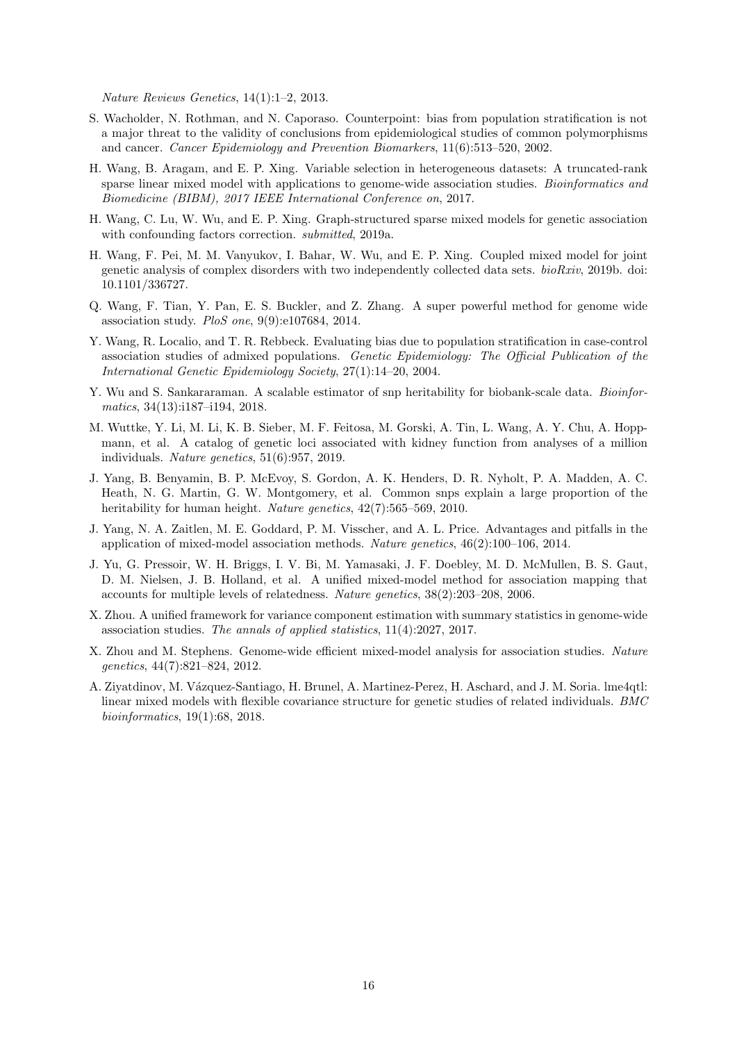Nature Reviews Genetics, 14(1):1–2, 2013.

- <span id="page-15-7"></span>S. Wacholder, N. Rothman, and N. Caporaso. Counterpoint: bias from population stratification is not a major threat to the validity of conclusions from epidemiological studies of common polymorphisms and cancer. Cancer Epidemiology and Prevention Biomarkers, 11(6):513–520, 2002.
- <span id="page-15-4"></span>H. Wang, B. Aragam, and E. P. Xing. Variable selection in heterogeneous datasets: A truncated-rank sparse linear mixed model with applications to genome-wide association studies. *Bioinformatics and* Biomedicine (BIBM), 2017 IEEE International Conference on, 2017.
- <span id="page-15-12"></span>H. Wang, C. Lu, W. Wu, and E. P. Xing. Graph-structured sparse mixed models for genetic association with confounding factors correction. submitted, 2019a.
- <span id="page-15-13"></span>H. Wang, F. Pei, M. M. Vanyukov, I. Bahar, W. Wu, and E. P. Xing. Coupled mixed model for joint genetic analysis of complex disorders with two independently collected data sets. bioRxiv, 2019b. doi: 10.1101/336727.
- <span id="page-15-9"></span>Q. Wang, F. Tian, Y. Pan, E. S. Buckler, and Z. Zhang. A super powerful method for genome wide association study. PloS one, 9(9):e107684, 2014.
- <span id="page-15-8"></span>Y. Wang, R. Localio, and T. R. Rebbeck. Evaluating bias due to population stratification in case-control association studies of admixed populations. Genetic Epidemiology: The Official Publication of the International Genetic Epidemiology Society, 27(1):14–20, 2004.
- <span id="page-15-6"></span>Y. Wu and S. Sankararaman. A scalable estimator of snp heritability for biobank-scale data. *Bioinfor*matics, 34(13):i187–i194, 2018.
- <span id="page-15-10"></span>M. Wuttke, Y. Li, M. Li, K. B. Sieber, M. F. Feitosa, M. Gorski, A. Tin, L. Wang, A. Y. Chu, A. Hoppmann, et al. A catalog of genetic loci associated with kidney function from analyses of a million individuals. Nature genetics, 51(6):957, 2019.
- <span id="page-15-2"></span>J. Yang, B. Benyamin, B. P. McEvoy, S. Gordon, A. K. Henders, D. R. Nyholt, P. A. Madden, A. C. Heath, N. G. Martin, G. W. Montgomery, et al. Common snps explain a large proportion of the heritability for human height. Nature genetics,  $42(7)$ :565–569, 2010.
- <span id="page-15-3"></span>J. Yang, N. A. Zaitlen, M. E. Goddard, P. M. Visscher, and A. L. Price. Advantages and pitfalls in the application of mixed-model association methods. Nature genetics, 46(2):100–106, 2014.
- <span id="page-15-0"></span>J. Yu, G. Pressoir, W. H. Briggs, I. V. Bi, M. Yamasaki, J. F. Doebley, M. D. McMullen, B. S. Gaut, D. M. Nielsen, J. B. Holland, et al. A unified mixed-model method for association mapping that accounts for multiple levels of relatedness. Nature genetics, 38(2):203–208, 2006.
- <span id="page-15-5"></span>X. Zhou. A unified framework for variance component estimation with summary statistics in genome-wide association studies. The annals of applied statistics, 11(4):2027, 2017.
- <span id="page-15-1"></span>X. Zhou and M. Stephens. Genome-wide efficient mixed-model analysis for association studies. Nature genetics, 44(7):821–824, 2012.
- <span id="page-15-11"></span>A. Ziyatdinov, M. Vázquez-Santiago, H. Brunel, A. Martinez-Perez, H. Aschard, and J. M. Soria. lme4qtl: linear mixed models with flexible covariance structure for genetic studies of related individuals. BMC bioinformatics, 19(1):68, 2018.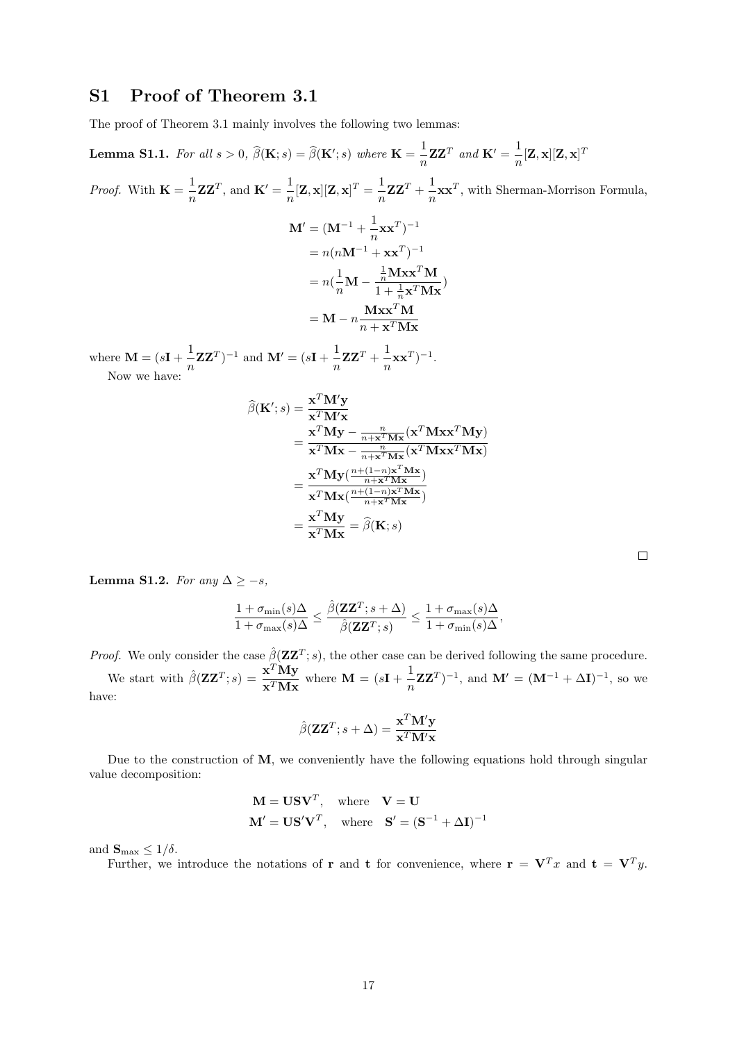## S1 Proof of Theorem 3.1

The proof of Theorem 3.1 mainly involves the following two lemmas:

**Lemma S1.1.** For all  $s > 0$ ,  $\widehat{\beta}(\mathbf{K}; s) = \widehat{\beta}(\mathbf{K}'; s)$  where  $\mathbf{K} = \frac{1}{n}$  $\frac{1}{n}$ **ZZ**<sup>T</sup> and **K**<sup> $\prime$ </sup> =  $\frac{1}{n}$  $\frac{1}{n}[\mathbf{Z},\mathbf{x}][\mathbf{Z},\mathbf{x}]^T$ *Proof.* With  $\mathbf{K} = \frac{1}{\cdot}$  $\frac{1}{n}$ **ZZ**<sup>T</sup>, and **K**<sup>'</sup> =  $\frac{1}{n}$  $\frac{1}{n}[\mathbf{Z}, \mathbf{x}][\mathbf{Z}, \mathbf{x}]^T = \frac{1}{n}$  $\frac{1}{n}$ **ZZ**<sup>T</sup> +  $\frac{1}{n}$  $\frac{1}{n}$ **xx**<sup>T</sup>, with Sherman-Morrison Formula,  $\mathbf{M}^{\prime}=(\mathbf{M}^{-1}+\frac{1}{\mathbf{\sigma}}% -\frac{1}{\mathbf{\sigma}}\mathbf{M}^{-1})\mathbf{M}^{-1}$  $\frac{1}{n}$ **xx**<sup>T</sup> $)$ <sup>-1</sup>  $= n(nM^{-1} + xx^T)^{-1}$  $=n(\frac{1}{n})$  $\frac{1}{n}M \frac{1}{n}$ Mxx<sup>T</sup>M  $\frac{n^{12}+1}{1+\frac{1}{n}\mathbf{x}^T\mathbf{M}\mathbf{x}}$  $= \mathbf{M} - n \frac{\mathbf{M} \mathbf{x} \mathbf{x}^T \mathbf{M}}{T \mathbf{M}}$  $n + \mathbf{x}^T \mathbf{M} \mathbf{x}$ where  $\mathbf{M} = (s\mathbf{I} + \frac{1}{s})$  $\frac{1}{n}\mathbf{Z}\mathbf{Z}^T)^{-1}$  and  $\mathbf{M}' = (s\mathbf{I} + \frac{1}{n})$  $\frac{1}{n}$ **zz**<sup>*T*</sup> +  $\frac{1}{n}$  $\frac{1}{n}$ **xx**<sup>T</sup> $)$ <sup>-1</sup>. Now we have:  $\widehat{\beta}(\textbf{K}';s) = \frac{\textbf{x}^T \textbf{M}' \textbf{y}}{\textbf{x}^T \textbf{M}' \textbf{x}}$  $\mathbf{x}^T \mathbf{M}' \mathbf{x}$ n

$$
\mathbf{x}^{T} \mathbf{M}'\mathbf{x}
$$
\n
$$
= \frac{\mathbf{x}^{T} \mathbf{M} \mathbf{y} - \frac{n}{n + \mathbf{x}^{T} \mathbf{M} \mathbf{x}} (\mathbf{x}^{T} \mathbf{M} \mathbf{x} \mathbf{x}^{T} \mathbf{M} \mathbf{y})}{\mathbf{x}^{T} \mathbf{M} \mathbf{x} - \frac{n}{n + \mathbf{x}^{T} \mathbf{M} \mathbf{x}} (\mathbf{x}^{T} \mathbf{M} \mathbf{x} \mathbf{x}^{T} \mathbf{M} \mathbf{x})}
$$
\n
$$
= \frac{\mathbf{x}^{T} \mathbf{M} \mathbf{y} (\frac{n + (1 - n) \mathbf{x}^{T} \mathbf{M} \mathbf{x}}{n + \mathbf{x}^{T} \mathbf{M} \mathbf{x}})}{\mathbf{x}^{T} \mathbf{M} \mathbf{x} (\frac{n + (1 - n) \mathbf{x}^{T} \mathbf{M} \mathbf{x}}{n + \mathbf{x}^{T} \mathbf{M} \mathbf{x}})}
$$
\n
$$
= \frac{\mathbf{x}^{T} \mathbf{M} \mathbf{y}}{\mathbf{x}^{T} \mathbf{M} \mathbf{x}} = \hat{\beta}(\mathbf{K}; s)
$$

Lemma S1.2. For any  $\Delta \geq -s$ ,

$$
\frac{1+\sigma_{\min}(s)\Delta}{1+\sigma_{\max}(s)\Delta} \leq \frac{\hat{\beta}(\mathbf{ZZ}^T;s+\Delta)}{\hat{\beta}(\mathbf{ZZ}^T;s)} \leq \frac{1+\sigma_{\max}(s)\Delta}{1+\sigma_{\min}(s)\Delta},
$$

*Proof.* We only consider the case  $\hat{\beta}(\mathbf{Z}\mathbf{Z}^T; s)$ , the other case can be derived following the same procedure. We start with  $\hat{\beta}(\mathbf{Z}\mathbf{Z}^T;s) = \frac{\mathbf{x}^T \mathbf{M} \mathbf{y}}{T \mathbf{M}}$  $\frac{\mathbf{x}^T \mathbf{M} \mathbf{y}}{\mathbf{x}^T \mathbf{M} \mathbf{x}}$  where  $\mathbf{M} = (s\mathbf{I} + \frac{1}{n})$  $\frac{1}{n}\mathbf{Z}\mathbf{Z}^T$ )<sup>-1</sup>, and  $\mathbf{M}' = (\mathbf{M}^{-1} + \Delta \mathbf{I})^{-1}$ , so we have:

$$
\hat{\beta}(\mathbf{Z}\mathbf{Z}^T; s + \Delta) = \frac{\mathbf{x}^T \mathbf{M}' \mathbf{y}}{\mathbf{x}^T \mathbf{M}' \mathbf{x}}
$$

Due to the construction of M, we conveniently have the following equations hold through singular value decomposition:

$$
\mathbf{M} = \mathbf{U}\mathbf{S}\mathbf{V}^T, \text{ where } \mathbf{V} = \mathbf{U}
$$

$$
\mathbf{M}' = \mathbf{U}\mathbf{S}'\mathbf{V}^T, \text{ where } \mathbf{S}' = (\mathbf{S}^{-1} + \Delta \mathbf{I})^{-1}
$$

and  $\mathbf{S}_{\text{max}} \leq 1/\delta$ .

Further, we introduce the notations of **r** and **t** for convenience, where  $\mathbf{r} = \mathbf{V}^T x$  and  $\mathbf{t} = \mathbf{V}^T y$ .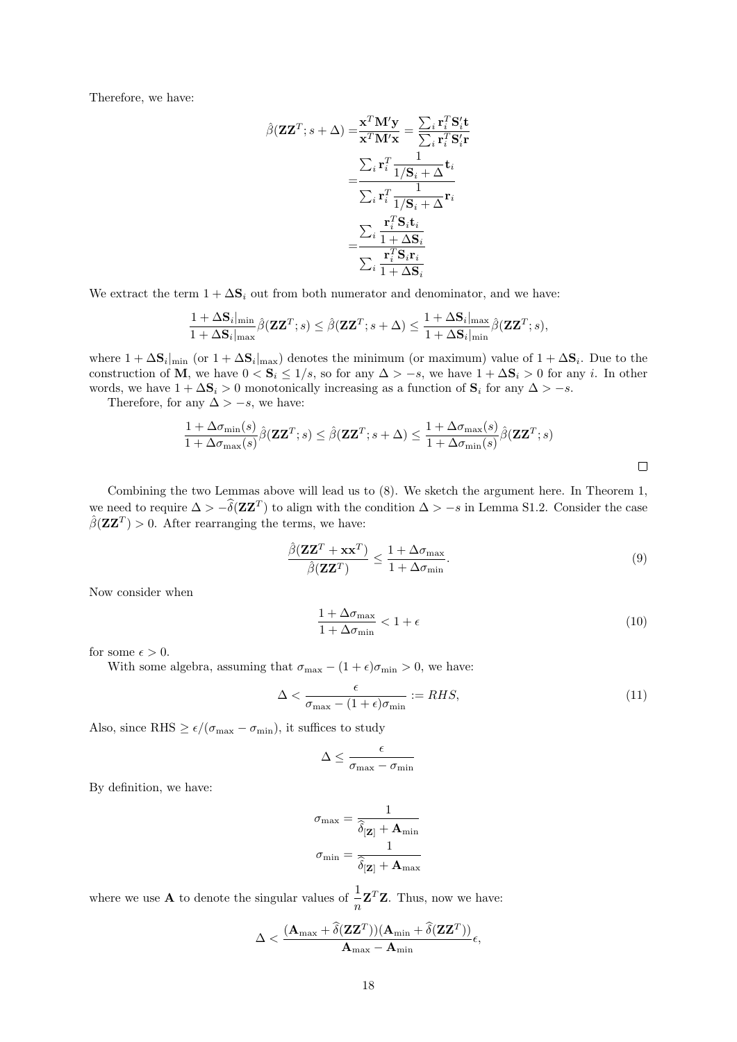Therefore, we have:

$$
\hat{\beta}(\mathbf{Z}\mathbf{Z}^T; s + \Delta) = \frac{\mathbf{x}^T \mathbf{M}' \mathbf{y}}{\mathbf{x}^T \mathbf{M}' \mathbf{x}} = \frac{\sum_i \mathbf{r}_i^T \mathbf{S}'_i \mathbf{t}}{\sum_i \mathbf{r}_i^T \mathbf{S}'_i \mathbf{r}}
$$

$$
= \frac{\sum_i \mathbf{r}_i^T \frac{1}{1/\mathbf{S}_i + \Delta} \mathbf{t}_i}{\sum_i \mathbf{r}_i^T \frac{1}{1/\mathbf{S}_i + \Delta} \mathbf{r}_i}
$$

$$
= \frac{\sum_i \frac{\mathbf{r}_i^T \mathbf{S}_i \mathbf{t}_i}{1 + \Delta \mathbf{S}_i}}{\sum_i \frac{\mathbf{r}_i^T \mathbf{S}_i \mathbf{r}_i}{1 + \Delta \mathbf{S}_i}}
$$

We extract the term  $1 + \Delta S_i$  out from both numerator and denominator, and we have:

$$
\frac{1+\Delta \mathbf{S}_{i}|_{\min}}{1+\Delta \mathbf{S}_{i}|_{\max}} \hat{\beta}(\mathbf{Z}\mathbf{Z}^{T}; s) \leq \hat{\beta}(\mathbf{Z}\mathbf{Z}^{T}; s + \Delta) \leq \frac{1+\Delta \mathbf{S}_{i}|_{\max}}{1+\Delta \mathbf{S}_{i}|_{\min}} \hat{\beta}(\mathbf{Z}\mathbf{Z}^{T}; s),
$$

where  $1 + \Delta S_i|_{\text{min}}$  (or  $1 + \Delta S_i|_{\text{max}}$ ) denotes the minimum (or maximum) value of  $1 + \Delta S_i$ . Due to the construction of M, we have  $0 < S_i \le 1/s$ , so for any  $\Delta > -s$ , we have  $1 + \Delta S_i > 0$  for any i. In other words, we have  $1 + \Delta S_i > 0$  monotonically increasing as a function of  $S_i$  for any  $\Delta > -s$ .

Therefore, for any  $\Delta > -s$ , we have:

$$
\frac{1 + \Delta \sigma_{\min}(s)}{1 + \Delta \sigma_{\max}(s)} \hat{\beta}(\mathbf{Z} \mathbf{Z}^T; s) \le \hat{\beta}(\mathbf{Z} \mathbf{Z}^T; s + \Delta) \le \frac{1 + \Delta \sigma_{\max}(s)}{1 + \Delta \sigma_{\min}(s)} \hat{\beta}(\mathbf{Z} \mathbf{Z}^T; s)
$$

Combining the two Lemmas above will lead us to (8). We sketch the argument here. In Theorem 1, we need to require  $\Delta > -\delta(\mathbf{Z}\mathbf{Z}^T)$  to align with the condition  $\Delta > -s$  in Lemma S1.2. Consider the case  $\hat{\beta}(\mathbf{Z}\mathbf{Z}^T) > 0$ . After rearranging the terms, we have:

$$
\frac{\hat{\beta}(\mathbf{ZZ}^T + \mathbf{x}\mathbf{x}^T)}{\hat{\beta}(\mathbf{ZZ}^T)} \le \frac{1 + \Delta \sigma_{\max}}{1 + \Delta \sigma_{\min}}.\tag{9}
$$

Now consider when

<span id="page-17-0"></span>
$$
\frac{1 + \Delta \sigma_{\text{max}}}{1 + \Delta \sigma_{\text{min}}} < 1 + \epsilon \tag{10}
$$

for some  $\epsilon > 0$ .

With some algebra, assuming that  $\sigma_{\text{max}} - (1 + \epsilon)\sigma_{\text{min}} > 0$ , we have:

$$
\Delta < \frac{\epsilon}{\sigma_{\text{max}} - (1 + \epsilon)\sigma_{\text{min}}} := RHS,\tag{11}
$$

Also, since RHS  $\geq \epsilon/(\sigma_{\text{max}} - \sigma_{\text{min}})$ , it suffices to study

$$
\Delta \leq \frac{\epsilon}{\sigma_{\max} - \sigma_{\min}}
$$

By definition, we have:

$$
\sigma_{\max} = \frac{1}{\hat{\delta}[\mathbf{z}] + \mathbf{A}_{\min}}
$$

$$
\sigma_{\min} = \frac{1}{\hat{\delta}[\mathbf{z}] + \mathbf{A}_{\max}}
$$

where we use **A** to denote the singular values of  $\frac{1}{n} \mathbf{Z}^T \mathbf{Z}$ . Thus, now we have:

$$
\Delta < \frac{(\mathbf{A}_{\max}+\widehat{\delta}(\mathbf{Z}\mathbf{Z}^T))(\mathbf{A}_{\min}+\widehat{\delta}(\mathbf{Z}\mathbf{Z}^T))}{\mathbf{A}_{\max}-\mathbf{A}_{\min}}\epsilon,
$$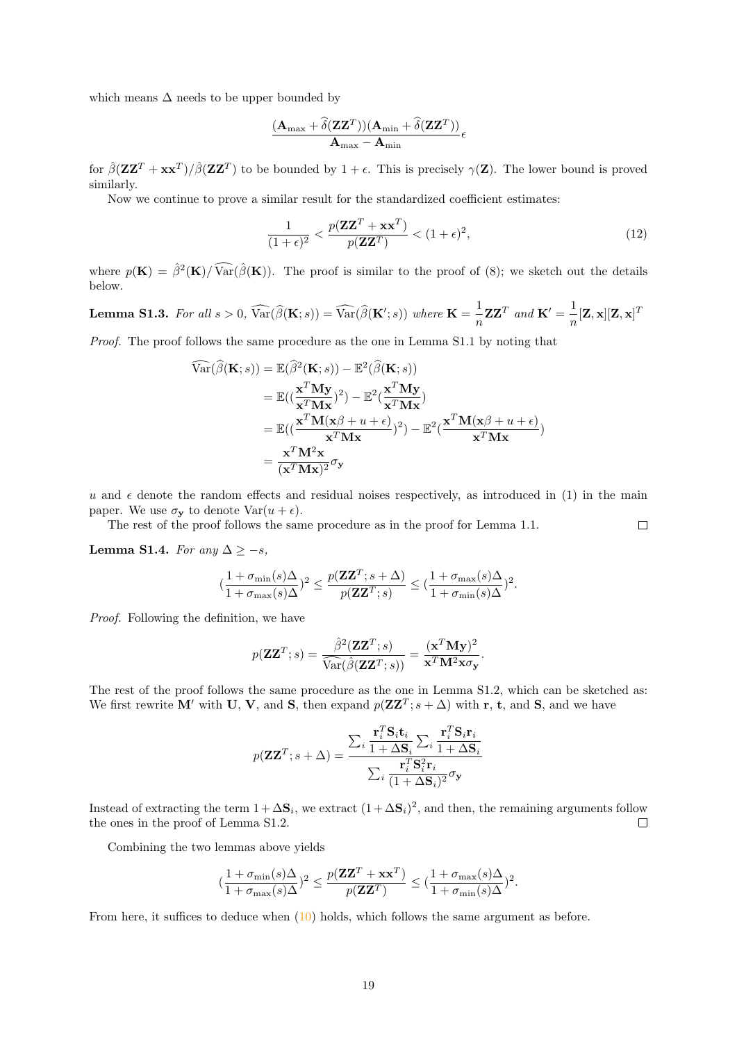which means  $\Delta$  needs to be upper bounded by

$$
\frac{(\mathbf{A}_{\max} + \widehat{\delta}(\mathbf{Z}\mathbf{Z}^T))(\mathbf{A}_{\min} + \widehat{\delta}(\mathbf{Z}\mathbf{Z}^T))}{\mathbf{A}_{\max} - \mathbf{A}_{\min}} \epsilon
$$

for  $\hat{\beta}(\mathbf{Z}\mathbf{Z}^T + \mathbf{x}\mathbf{x}^T)/\hat{\beta}(\mathbf{Z}\mathbf{Z}^T)$  to be bounded by  $1 + \epsilon$ . This is precisely  $\gamma(\mathbf{Z})$ . The lower bound is proved similarly.

Now we continue to prove a similar result for the standardized coefficient estimates:

$$
\frac{1}{(1+\epsilon)^2} < \frac{p(\mathbf{Z}\mathbf{Z}^T + \mathbf{x}\mathbf{x}^T)}{p(\mathbf{Z}\mathbf{Z}^T)} < (1+\epsilon)^2,\tag{12}
$$

 $\Box$ 

where  $p(\mathbf{K}) = \hat{\beta}^2(\mathbf{K})/\widehat{\text{Var}}(\hat{\beta}(\mathbf{K}))$ . The proof is similar to the proof of (8); we sketch out the details below.

**Lemma S1.3.** For all  $s > 0$ ,  $\widehat{\text{Var}}(\widehat{\beta}(\mathbf{K}; s)) = \widehat{\text{Var}}(\widehat{\beta}(\mathbf{K}'; s))$  where  $\mathbf{K} = \frac{1}{n}$  $\frac{1}{n}$ **ZZ**<sup>T</sup> and **K**<sup>'</sup> =  $\frac{1}{n}$  $\frac{1}{n}[\mathbf{Z},\mathbf{x}][\mathbf{Z},\mathbf{x}]^T$ 

Proof. The proof follows the same procedure as the one in Lemma S1.1 by noting that

$$
\widehat{\text{Var}}(\widehat{\beta}(\mathbf{K};s)) = \mathbb{E}(\widehat{\beta}^{2}(\mathbf{K};s)) - \mathbb{E}^{2}(\widehat{\beta}(\mathbf{K};s))
$$
\n
$$
= \mathbb{E}((\frac{\mathbf{x}^{T}\mathbf{M}\mathbf{y}}{\mathbf{x}^{T}\mathbf{M}\mathbf{x}})^{2}) - \mathbb{E}^{2}(\frac{\mathbf{x}^{T}\mathbf{M}\mathbf{y}}{\mathbf{x}^{T}\mathbf{M}\mathbf{x}})
$$
\n
$$
= \mathbb{E}((\frac{\mathbf{x}^{T}\mathbf{M}(\mathbf{x}\beta + u + \epsilon)}{\mathbf{x}^{T}\mathbf{M}\mathbf{x}})^{2}) - \mathbb{E}^{2}(\frac{\mathbf{x}^{T}\mathbf{M}(\mathbf{x}\beta + u + \epsilon)}{\mathbf{x}^{T}\mathbf{M}\mathbf{x}})^{2})
$$
\n
$$
= \frac{\mathbf{x}^{T}\mathbf{M}^{2}\mathbf{x}}{(\mathbf{x}^{T}\mathbf{M}\mathbf{x})^{2}} \sigma_{\mathbf{y}}
$$

u and  $\epsilon$  denote the random effects and residual noises respectively, as introduced in (1) in the main paper. We use  $\sigma_{\mathbf{v}}$  to denote  $\text{Var}(u + \epsilon)$ .

The rest of the proof follows the same procedure as in the proof for Lemma 1.1.

Lemma S1.4. For any  $\Delta \geq -s$ ,

$$
(\frac{1+\sigma_{\min}(s)\Delta}{1+\sigma_{\max}(s)\Delta})^2\leq \frac{p(\mathbf{Z}\mathbf{Z}^T;s+\Delta)}{p(\mathbf{Z}\mathbf{Z}^T;s)}\leq (\frac{1+\sigma_{\max}(s)\Delta}{1+\sigma_{\min}(s)\Delta})^2.
$$

Proof. Following the definition, we have

$$
p(\mathbf{Z}\mathbf{Z}^T; s) = \frac{\hat{\beta}^2(\mathbf{Z}\mathbf{Z}^T; s)}{\widehat{\text{Var}}(\hat{\beta}(\mathbf{Z}\mathbf{Z}^T; s))} = \frac{(\mathbf{x}^T \mathbf{M} \mathbf{y})^2}{\mathbf{x}^T \mathbf{M}^2 \mathbf{x} \sigma_{\mathbf{y}}}.
$$

The rest of the proof follows the same procedure as the one in Lemma S1.2, which can be sketched as: We first rewrite M' with U, V, and S, then expand  $p(\mathbf{Z}\mathbf{Z}^T; s + \Delta)$  with r, t, and S, and we have

$$
p(\mathbf{Z}\mathbf{Z}^T; s + \Delta) = \frac{\sum_i \frac{\mathbf{r}_i^T \mathbf{S}_i \mathbf{t}_i}{1 + \Delta \mathbf{S}_i} \sum_i \frac{\mathbf{r}_i^T \mathbf{S}_i \mathbf{r}_i}{1 + \Delta \mathbf{S}_i}}{\sum_i \frac{\mathbf{r}_i^T \mathbf{S}_i^2 \mathbf{r}_i}{(1 + \Delta \mathbf{S}_i)^2} \sigma_{\mathbf{y}}}
$$

Instead of extracting the term  $1 + \Delta S_i$ , we extract  $(1 + \Delta S_i)^2$ , and then, the remaining arguments follow the ones in the proof of Lemma S1.2.  $\Box$ 

Combining the two lemmas above yields

$$
(\frac{1+\sigma_{\min}(s)\Delta}{1+\sigma_{\max}(s)\Delta})^2\leq \frac{p(\mathbf{Z}\mathbf{Z}^T+\mathbf{x}\mathbf{x}^T)}{p(\mathbf{Z}\mathbf{Z}^T)}\leq (\frac{1+\sigma_{\max}(s)\Delta}{1+\sigma_{\min}(s)\Delta})^2.
$$

From here, it suffices to deduce when [\(10\)](#page-17-0) holds, which follows the same argument as before.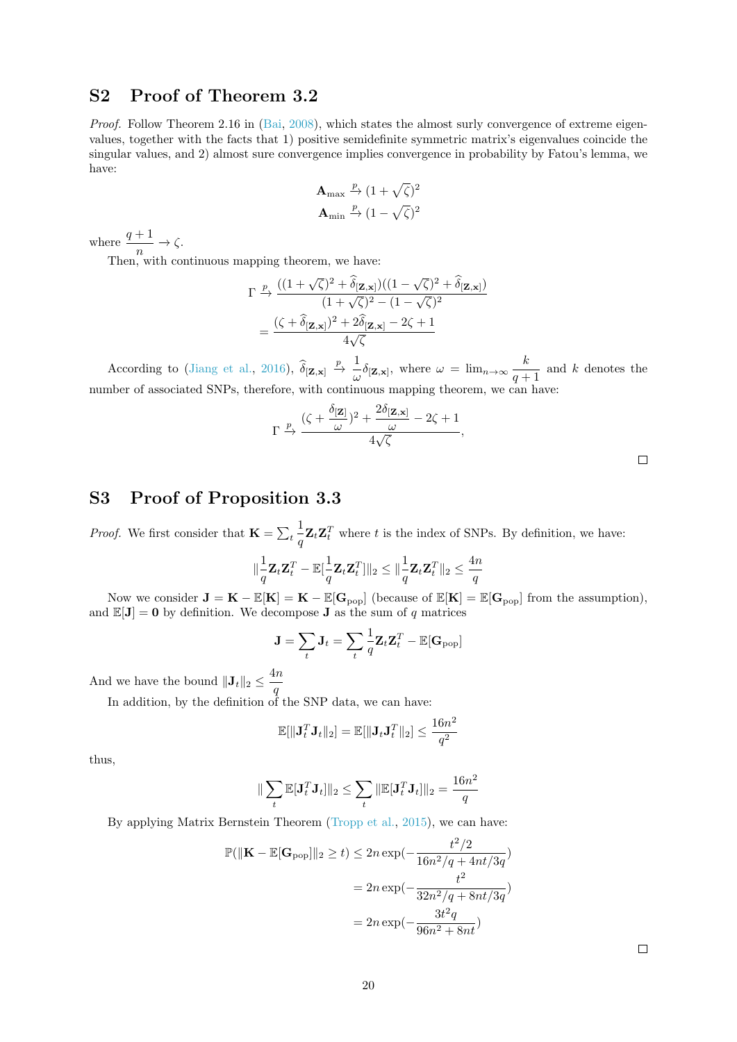# S2 Proof of Theorem 3.2

Proof. Follow Theorem 2.16 in [\(Bai,](#page-12-8) [2008\)](#page-12-8), which states the almost surly convergence of extreme eigenvalues, together with the facts that 1) positive semidefinite symmetric matrix's eigenvalues coincide the singular values, and 2) almost sure convergence implies convergence in probability by Fatou's lemma, we have:

$$
\begin{aligned} \mathbf{A}_{\text{max}} \xrightarrow{p} (1 + \sqrt{\zeta})^2 \\ \mathbf{A}_{\text{min}} \xrightarrow{p} (1 - \sqrt{\zeta})^2 \end{aligned}
$$

where  $\frac{q+1}{n} \to \zeta$ .

Then, with continuous mapping theorem, we have:

$$
\Gamma \xrightarrow{p} \frac{((1+\sqrt{\zeta})^2 + \hat{\delta}_{[\mathbf{Z},\mathbf{x}]})((1-\sqrt{\zeta})^2 + \hat{\delta}_{[\mathbf{Z},\mathbf{x}]})}{(1+\sqrt{\zeta})^2 - (1-\sqrt{\zeta})^2}
$$

$$
= \frac{(\zeta + \hat{\delta}_{[\mathbf{Z},\mathbf{x}]})^2 + 2\hat{\delta}_{[\mathbf{Z},\mathbf{x}]} - 2\zeta + 1}{4\sqrt{\zeta}}
$$

According to [\(Jiang et al.,](#page-13-6) [2016\)](#page-13-6),  $\widehat{\delta}_{[\mathbf{Z},\mathbf{x}]} \stackrel{p}{\rightarrow} \frac{1}{\omega}$  $\frac{1}{\omega} \delta_{[\mathbf{Z}, \mathbf{x}]}, \text{ where } \omega = \lim_{n \to \infty} \frac{k}{q + 1}$  $\frac{n}{q+1}$  and k denotes the number of associated SNPs, therefore, with continuous mapping theorem, we can have:

$$
\Gamma \xrightarrow{p} \frac{(\zeta + \frac{\delta[\mathbf{z}]}{\omega})^2 + \frac{2\delta[\mathbf{z}, \mathbf{x}]}{\omega} - 2\zeta + 1}{4\sqrt{\zeta}},
$$

# S3 Proof of Proposition 3.3

*Proof.* We first consider that  $\mathbf{K} = \sum_t$ 1  $\frac{1}{q} \mathbf{Z}_t \mathbf{Z}_t^T$  where t is the index of SNPs. By definition, we have:

$$
\|\frac{1}{q}\mathbf{Z}_t\mathbf{Z}_t^T - \mathbb{E}[\frac{1}{q}\mathbf{Z}_t\mathbf{Z}_t^T]\|_2 \le \|\frac{1}{q}\mathbf{Z}_t\mathbf{Z}_t^T\|_2 \le \frac{4n}{q}
$$

Now we consider  $J = K - \mathbb{E}[K] = K - \mathbb{E}[G_{pop}]$  (because of  $\mathbb{E}[K] = \mathbb{E}[G_{pop}]$  from the assumption), and  $\mathbb{E}[\mathbf{J}] = \mathbf{0}$  by definition. We decompose **J** as the sum of q matrices

$$
\mathbf{J} = \sum_t \mathbf{J}_t = \sum_t \frac{1}{q} \mathbf{Z}_t \mathbf{Z}_t^T - \mathbb{E}[\mathbf{G}_{\text{pop}}]
$$

And we have the bound  $\|\mathbf{J}_t\|_2 \leq \frac{4n}{\epsilon}$ q

In addition, by the definition of the SNP data, we can have:

$$
\mathbb{E}[\|\mathbf{J}_t^T \mathbf{J}_t\|_2] = \mathbb{E}[\|\mathbf{J}_t \mathbf{J}_t^T\|_2] \le \frac{16n^2}{q^2}
$$

thus,

$$
\|\sum_{t}\mathbb{E}[\mathbf{J}_t^T\mathbf{J}_t]\|_2 \le \sum_{t} \|\mathbb{E}[\mathbf{J}_t^T\mathbf{J}_t]\|_2 = \frac{16n^2}{q}
$$

By applying Matrix Bernstein Theorem [\(Tropp et al.,](#page-14-20) [2015\)](#page-14-20), we can have:

$$
\mathbb{P}(\|\mathbf{K} - \mathbb{E}[\mathbf{G}_{\text{pop}}]\|_2 \ge t) \le 2n \exp(-\frac{t^2/2}{16n^2/q + 4nt/3q})
$$

$$
= 2n \exp(-\frac{t^2}{32n^2/q + 8nt/3q})
$$

$$
= 2n \exp(-\frac{3t^2q}{96n^2 + 8nt})
$$

 $\Box$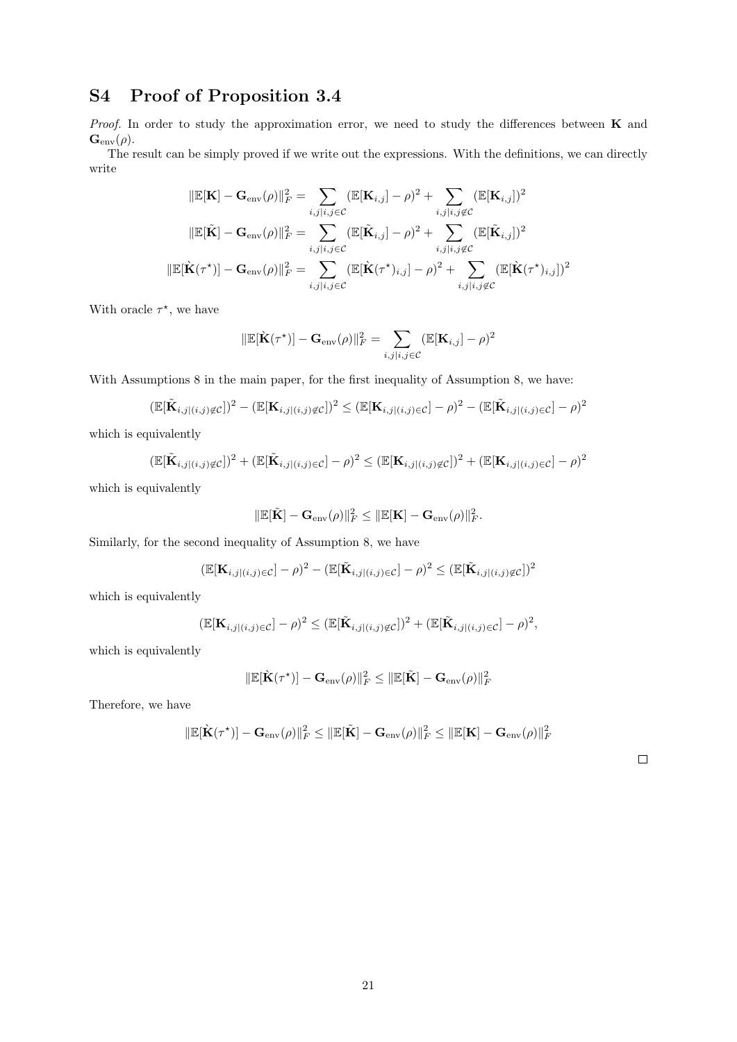# S4 Proof of Proposition 3.4

*Proof.* In order to study the approximation error, we need to study the differences between  $\bf{K}$  and  $\mathbf{G}_{env}(\rho).$ 

The result can be simply proved if we write out the expressions. With the definitions, we can directly write

$$
\|\mathbb{E}[\mathbf{K}] - \mathbf{G}_{env}(\rho)\|_{F}^{2} = \sum_{i,j|i,j \in C} (\mathbb{E}[\mathbf{K}_{i,j}] - \rho)^{2} + \sum_{i,j|i,j \notin C} (\mathbb{E}[\mathbf{K}_{i,j}])^{2}
$$

$$
\|\mathbb{E}[\tilde{\mathbf{K}}] - \mathbf{G}_{env}(\rho)\|_{F}^{2} = \sum_{i,j|i,j \in C} (\mathbb{E}[\tilde{\mathbf{K}}_{i,j}] - \rho)^{2} + \sum_{i,j|i,j \notin C} (\mathbb{E}[\tilde{\mathbf{K}}_{i,j}])^{2}
$$

$$
\|\mathbb{E}[\tilde{\mathbf{K}}(\tau^{*})] - \mathbf{G}_{env}(\rho)\|_{F}^{2} = \sum_{i,j|i,j \in C} (\mathbb{E}[\tilde{\mathbf{K}}(\tau^{*})_{i,j}] - \rho)^{2} + \sum_{i,j|i,j \notin C} (\mathbb{E}[\tilde{\mathbf{K}}(\tau^{*})_{i,j}])^{2}
$$

With oracle  $\tau^*$ , we have

$$
\|\mathbb{E}[\dot{\mathbf{K}}(\tau^\star)] - \mathbf{G}_{env}(\rho)\|_F^2 = \sum_{i,j|i,j \in C} (\mathbb{E}[\mathbf{K}_{i,j}] - \rho)^2
$$

With Assumptions 8 in the main paper, for the first inequality of Assumption 8, we have:

$$
(\mathbb{E}[\tilde{\mathbf{K}}_{i,j|(i,j)\notin\mathcal{C}}])^2 - (\mathbb{E}[\mathbf{K}_{i,j|(i,j)\notin\mathcal{C}}])^2 \leq (\mathbb{E}[\mathbf{K}_{i,j|(i,j)\in\mathcal{C}}] - \rho)^2 - (\mathbb{E}[\tilde{\mathbf{K}}_{i,j|(i,j)\in\mathcal{C}}] - \rho)^2
$$

which is equivalently

$$
(\mathbb{E}[\tilde{\mathbf{K}}_{i,j|(i,j)\notin\mathcal{C}}])^2 + (\mathbb{E}[\tilde{\mathbf{K}}_{i,j|(i,j)\in\mathcal{C}}] - \rho)^2 \leq (\mathbb{E}[\mathbf{K}_{i,j|(i,j)\notin\mathcal{C}}])^2 + (\mathbb{E}[\mathbf{K}_{i,j|(i,j)\in\mathcal{C}}] - \rho)^2
$$

which is equivalently

$$
\|\mathbb{E}[\tilde{\mathbf{K}}] - \mathbf{G}_{env}(\rho)\|_F^2 \le \|\mathbb{E}[\mathbf{K}] - \mathbf{G}_{env}(\rho)\|_F^2.
$$

Similarly, for the second inequality of Assumption 8, we have

$$
(\mathbb{E}[\mathbf{K}_{i,j|(i,j)\in\mathcal{C}}]-\rho)^2-(\mathbb{E}[\tilde{\mathbf{K}}_{i,j|(i,j)\in\mathcal{C}}]-\rho)^2\leq (\mathbb{E}[\tilde{\mathbf{K}}_{i,j|(i,j)\notin\mathcal{C}}])^2
$$

which is equivalently

$$
(\mathbb{E}[\mathbf{K}_{i,j|(i,j)\in\mathcal{C}}]-\rho)^2 \leq (\mathbb{E}[\tilde{\mathbf{K}}_{i,j|(i,j)\notin\mathcal{C}}])^2 + (\mathbb{E}[\tilde{\mathbf{K}}_{i,j|(i,j)\in\mathcal{C}}]-\rho)^2,
$$

which is equivalently

$$
\|\mathbb{E}[\hat{\mathbf{K}}(\tau^{\star})] - \mathbf{G}_{env}(\rho)\|_F^2 \le \|\mathbb{E}[\tilde{\mathbf{K}}] - \mathbf{G}_{env}(\rho)\|_F^2
$$

Therefore, we have

$$
\|\mathbb{E}[\hat{\mathbf{K}}(\tau^*)] - \mathbf{G}_{env}(\rho)\|_F^2 \le \|\mathbb{E}[\tilde{\mathbf{K}}] - \mathbf{G}_{env}(\rho)\|_F^2 \le \|\mathbb{E}[\mathbf{K}] - \mathbf{G}_{env}(\rho)\|_F^2
$$

 $\Box$